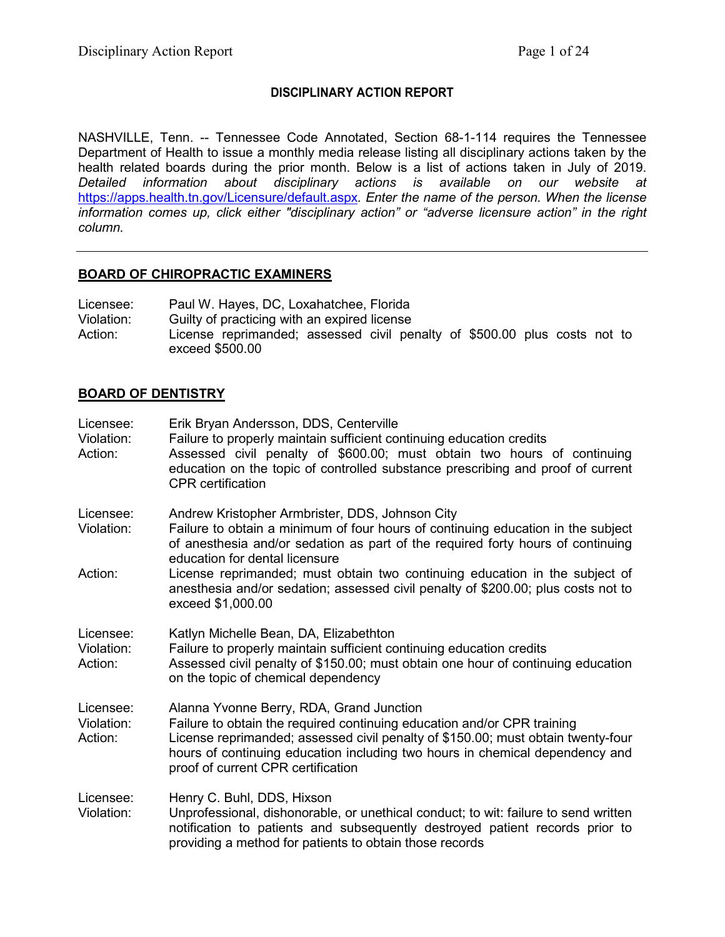# **DISCIPLINARY ACTION REPORT**

NASHVILLE, Tenn. -- Tennessee Code Annotated, Section 68-1-114 requires the Tennessee Department of Health to issue a monthly media release listing all disciplinary actions taken by the health related boards during the prior month. Below is a list of actions taken in July of 2019. *Detailed information about disciplinary actions is available on our website at*  <https://apps.health.tn.gov/Licensure/default.aspx>*. Enter the name of the person. When the license information comes up, click either "disciplinary action" or "adverse licensure action" in the right column.*

## **BOARD OF CHIROPRACTIC EXAMINERS**

Licensee: Paul W. Hayes, DC, Loxahatchee, Florida Violation: Guilty of practicing with an expired license Action: License reprimanded; assessed civil penalty of \$500.00 plus costs not to exceed \$500.00

## **BOARD OF DENTISTRY**

| Licensee:<br>Violation:<br>Action: | Erik Bryan Andersson, DDS, Centerville<br>Failure to properly maintain sufficient continuing education credits<br>Assessed civil penalty of \$600.00; must obtain two hours of continuing<br>education on the topic of controlled substance prescribing and proof of current<br><b>CPR</b> certification                                                                                                                                          |
|------------------------------------|---------------------------------------------------------------------------------------------------------------------------------------------------------------------------------------------------------------------------------------------------------------------------------------------------------------------------------------------------------------------------------------------------------------------------------------------------|
| Licensee:<br>Violation:<br>Action: | Andrew Kristopher Armbrister, DDS, Johnson City<br>Failure to obtain a minimum of four hours of continuing education in the subject<br>of anesthesia and/or sedation as part of the required forty hours of continuing<br>education for dental licensure<br>License reprimanded; must obtain two continuing education in the subject of<br>anesthesia and/or sedation; assessed civil penalty of \$200.00; plus costs not to<br>exceed \$1,000.00 |
| Licensee:<br>Violation:<br>Action: | Katlyn Michelle Bean, DA, Elizabethton<br>Failure to properly maintain sufficient continuing education credits<br>Assessed civil penalty of \$150.00; must obtain one hour of continuing education<br>on the topic of chemical dependency                                                                                                                                                                                                         |
| Licensee:<br>Violation:<br>Action: | Alanna Yvonne Berry, RDA, Grand Junction<br>Failure to obtain the required continuing education and/or CPR training<br>License reprimanded; assessed civil penalty of \$150.00; must obtain twenty-four<br>hours of continuing education including two hours in chemical dependency and<br>proof of current CPR certification                                                                                                                     |
| Licensee:<br>Violation:            | Henry C. Buhl, DDS, Hixson<br>Unprofessional, dishonorable, or unethical conduct; to wit: failure to send written<br>notification to patients and subsequently destroyed patient records prior to<br>providing a method for patients to obtain those records                                                                                                                                                                                      |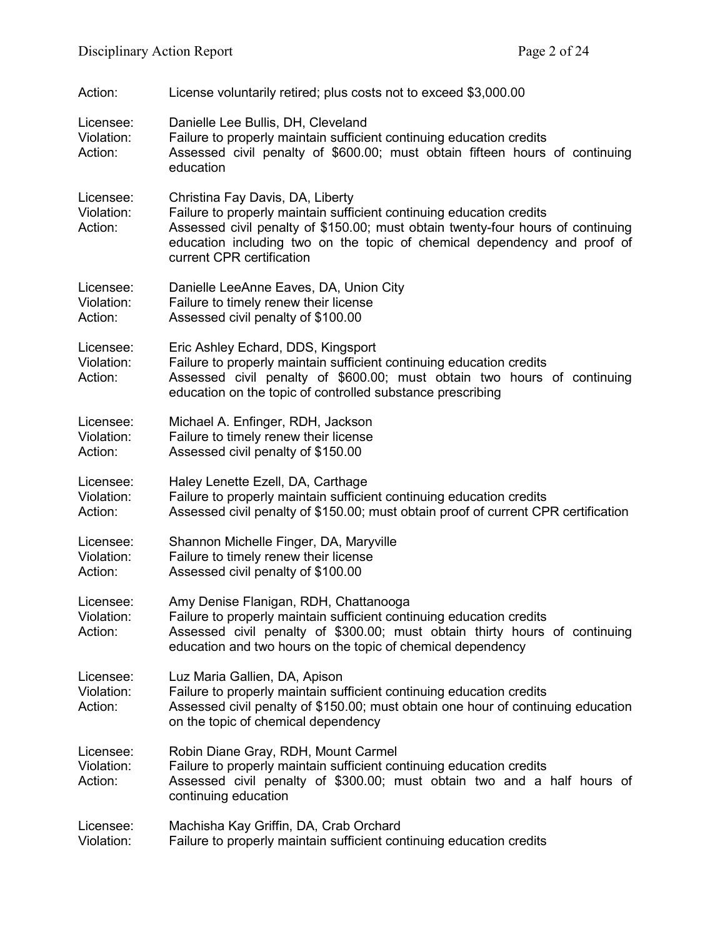| Action:                            | License voluntarily retired; plus costs not to exceed \$3,000.00                                                                                                                                                                                                                                     |
|------------------------------------|------------------------------------------------------------------------------------------------------------------------------------------------------------------------------------------------------------------------------------------------------------------------------------------------------|
| Licensee:<br>Violation:<br>Action: | Danielle Lee Bullis, DH, Cleveland<br>Failure to properly maintain sufficient continuing education credits<br>Assessed civil penalty of \$600.00; must obtain fifteen hours of continuing<br>education                                                                                               |
| Licensee:<br>Violation:<br>Action: | Christina Fay Davis, DA, Liberty<br>Failure to properly maintain sufficient continuing education credits<br>Assessed civil penalty of \$150.00; must obtain twenty-four hours of continuing<br>education including two on the topic of chemical dependency and proof of<br>current CPR certification |
| Licensee:<br>Violation:<br>Action: | Danielle LeeAnne Eaves, DA, Union City<br>Failure to timely renew their license<br>Assessed civil penalty of \$100.00                                                                                                                                                                                |
| Licensee:<br>Violation:<br>Action: | Eric Ashley Echard, DDS, Kingsport<br>Failure to properly maintain sufficient continuing education credits<br>Assessed civil penalty of \$600.00; must obtain two hours of continuing<br>education on the topic of controlled substance prescribing                                                  |
| Licensee:<br>Violation:<br>Action: | Michael A. Enfinger, RDH, Jackson<br>Failure to timely renew their license<br>Assessed civil penalty of \$150.00                                                                                                                                                                                     |
| Licensee:<br>Violation:<br>Action: | Haley Lenette Ezell, DA, Carthage<br>Failure to properly maintain sufficient continuing education credits<br>Assessed civil penalty of \$150.00; must obtain proof of current CPR certification                                                                                                      |
| Licensee:<br>Violation:<br>Action: | Shannon Michelle Finger, DA, Maryville<br>Failure to timely renew their license<br>Assessed civil penalty of \$100.00                                                                                                                                                                                |
| Licensee:<br>Violation:<br>Action: | Amy Denise Flanigan, RDH, Chattanooga<br>Failure to properly maintain sufficient continuing education credits<br>Assessed civil penalty of \$300.00; must obtain thirty hours of continuing<br>education and two hours on the topic of chemical dependency                                           |
| Licensee:<br>Violation:<br>Action: | Luz Maria Gallien, DA, Apison<br>Failure to properly maintain sufficient continuing education credits<br>Assessed civil penalty of \$150.00; must obtain one hour of continuing education<br>on the topic of chemical dependency                                                                     |
| Licensee:<br>Violation:<br>Action: | Robin Diane Gray, RDH, Mount Carmel<br>Failure to properly maintain sufficient continuing education credits<br>Assessed civil penalty of \$300.00; must obtain two and a half hours of<br>continuing education                                                                                       |
| Licensee:<br>Violation:            | Machisha Kay Griffin, DA, Crab Orchard<br>Failure to properly maintain sufficient continuing education credits                                                                                                                                                                                       |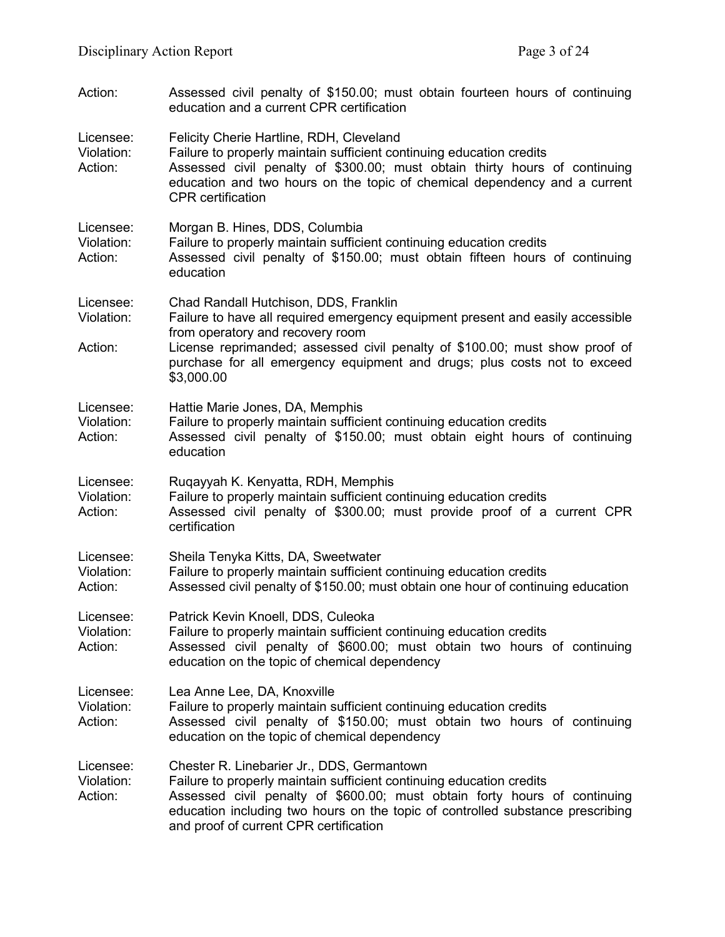| Action:                            | Assessed civil penalty of \$150.00; must obtain fourteen hours of continuing<br>education and a current CPR certification                                                                                                                                                                                                            |
|------------------------------------|--------------------------------------------------------------------------------------------------------------------------------------------------------------------------------------------------------------------------------------------------------------------------------------------------------------------------------------|
| Licensee:<br>Violation:<br>Action: | Felicity Cherie Hartline, RDH, Cleveland<br>Failure to properly maintain sufficient continuing education credits<br>Assessed civil penalty of \$300.00; must obtain thirty hours of continuing<br>education and two hours on the topic of chemical dependency and a current<br><b>CPR</b> certification                              |
| Licensee:<br>Violation:<br>Action: | Morgan B. Hines, DDS, Columbia<br>Failure to properly maintain sufficient continuing education credits<br>Assessed civil penalty of \$150.00; must obtain fifteen hours of continuing<br>education                                                                                                                                   |
| Licensee:<br>Violation:<br>Action: | Chad Randall Hutchison, DDS, Franklin<br>Failure to have all required emergency equipment present and easily accessible<br>from operatory and recovery room<br>License reprimanded; assessed civil penalty of \$100.00; must show proof of<br>purchase for all emergency equipment and drugs; plus costs not to exceed<br>\$3,000.00 |
| Licensee:<br>Violation:<br>Action: | Hattie Marie Jones, DA, Memphis<br>Failure to properly maintain sufficient continuing education credits<br>Assessed civil penalty of \$150.00; must obtain eight hours of continuing<br>education                                                                                                                                    |
| Licensee:<br>Violation:<br>Action: | Ruqayyah K. Kenyatta, RDH, Memphis<br>Failure to properly maintain sufficient continuing education credits<br>Assessed civil penalty of \$300.00; must provide proof of a current CPR<br>certification                                                                                                                               |
| Licensee:<br>Violation:<br>Action: | Sheila Tenyka Kitts, DA, Sweetwater<br>Failure to properly maintain sufficient continuing education credits<br>Assessed civil penalty of \$150.00; must obtain one hour of continuing education                                                                                                                                      |
| Licensee:<br>Violation:<br>Action: | Patrick Kevin Knoell, DDS, Culeoka<br>Failure to properly maintain sufficient continuing education credits<br>Assessed civil penalty of \$600.00; must obtain two hours of continuing<br>education on the topic of chemical dependency                                                                                               |
| Licensee:<br>Violation:<br>Action: | Lea Anne Lee, DA, Knoxville<br>Failure to properly maintain sufficient continuing education credits<br>Assessed civil penalty of \$150.00; must obtain two hours of continuing<br>education on the topic of chemical dependency                                                                                                      |
| Licensee:<br>Violation:<br>Action: | Chester R. Linebarier Jr., DDS, Germantown<br>Failure to properly maintain sufficient continuing education credits<br>Assessed civil penalty of \$600.00; must obtain forty hours of continuing<br>education including two hours on the topic of controlled substance prescribing<br>and proof of current CPR certification          |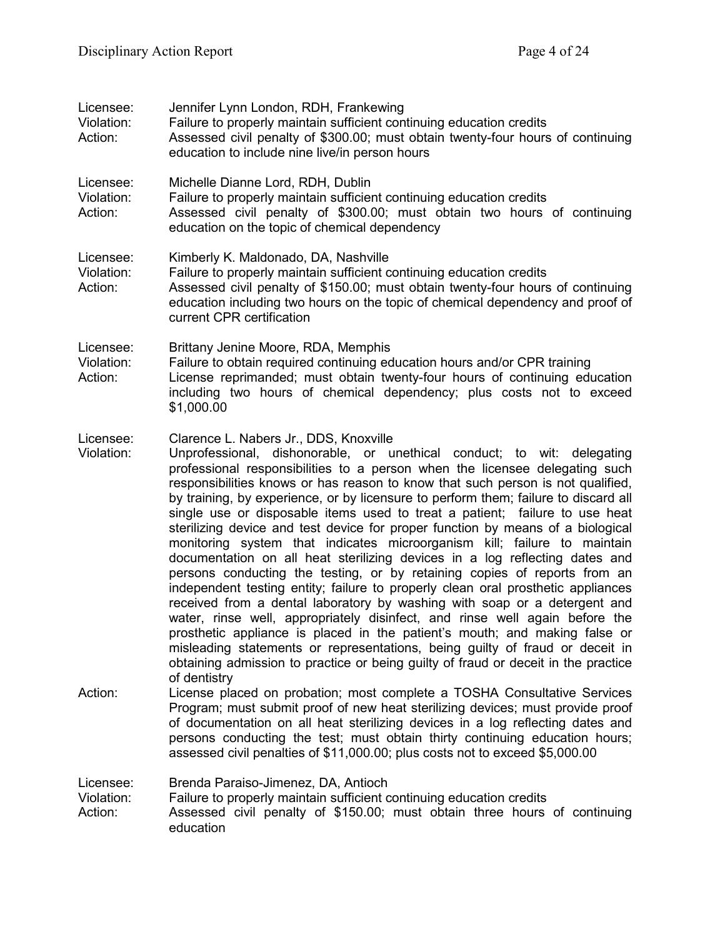| Licensee:<br>Violation:<br>Action: | Jennifer Lynn London, RDH, Frankewing<br>Failure to properly maintain sufficient continuing education credits<br>Assessed civil penalty of \$300.00; must obtain twenty-four hours of continuing<br>education to include nine live/in person hours                                                                                                                                                                                                                                                                                                                                                                                                                                                                                                                                                                                                                                                                                                                                                                                                                                                                                                                                                                                                                                                      |
|------------------------------------|---------------------------------------------------------------------------------------------------------------------------------------------------------------------------------------------------------------------------------------------------------------------------------------------------------------------------------------------------------------------------------------------------------------------------------------------------------------------------------------------------------------------------------------------------------------------------------------------------------------------------------------------------------------------------------------------------------------------------------------------------------------------------------------------------------------------------------------------------------------------------------------------------------------------------------------------------------------------------------------------------------------------------------------------------------------------------------------------------------------------------------------------------------------------------------------------------------------------------------------------------------------------------------------------------------|
| Licensee:<br>Violation:<br>Action: | Michelle Dianne Lord, RDH, Dublin<br>Failure to properly maintain sufficient continuing education credits<br>Assessed civil penalty of \$300.00; must obtain two hours of continuing<br>education on the topic of chemical dependency                                                                                                                                                                                                                                                                                                                                                                                                                                                                                                                                                                                                                                                                                                                                                                                                                                                                                                                                                                                                                                                                   |
| Licensee:<br>Violation:<br>Action: | Kimberly K. Maldonado, DA, Nashville<br>Failure to properly maintain sufficient continuing education credits<br>Assessed civil penalty of \$150.00; must obtain twenty-four hours of continuing<br>education including two hours on the topic of chemical dependency and proof of<br>current CPR certification                                                                                                                                                                                                                                                                                                                                                                                                                                                                                                                                                                                                                                                                                                                                                                                                                                                                                                                                                                                          |
| Licensee:<br>Violation:<br>Action: | Brittany Jenine Moore, RDA, Memphis<br>Failure to obtain required continuing education hours and/or CPR training<br>License reprimanded; must obtain twenty-four hours of continuing education<br>including two hours of chemical dependency; plus costs not to exceed<br>\$1,000.00                                                                                                                                                                                                                                                                                                                                                                                                                                                                                                                                                                                                                                                                                                                                                                                                                                                                                                                                                                                                                    |
| Licensee:<br>Violation:            | Clarence L. Nabers Jr., DDS, Knoxville<br>Unprofessional, dishonorable, or unethical conduct; to wit: delegating<br>professional responsibilities to a person when the licensee delegating such<br>responsibilities knows or has reason to know that such person is not qualified,<br>by training, by experience, or by licensure to perform them; failure to discard all<br>single use or disposable items used to treat a patient; failure to use heat<br>sterilizing device and test device for proper function by means of a biological<br>monitoring system that indicates microorganism kill; failure to maintain<br>documentation on all heat sterilizing devices in a log reflecting dates and<br>persons conducting the testing, or by retaining copies of reports from an<br>independent testing entity; failure to properly clean oral prosthetic appliances<br>received from a dental laboratory by washing with soap or a detergent and<br>water, rinse well, appropriately disinfect, and rinse well again before the<br>prosthetic appliance is placed in the patient's mouth; and making false or<br>misleading statements or representations, being guilty of fraud or deceit in<br>obtaining admission to practice or being guilty of fraud or deceit in the practice<br>of dentistry |
| Action:                            | License placed on probation; most complete a TOSHA Consultative Services<br>Program; must submit proof of new heat sterilizing devices; must provide proof<br>of documentation on all heat sterilizing devices in a log reflecting dates and<br>persons conducting the test; must obtain thirty continuing education hours;<br>assessed civil penalties of \$11,000.00; plus costs not to exceed \$5,000.00                                                                                                                                                                                                                                                                                                                                                                                                                                                                                                                                                                                                                                                                                                                                                                                                                                                                                             |
| Licensee:<br>Violation:<br>Action: | Brenda Paraiso-Jimenez, DA, Antioch<br>Failure to properly maintain sufficient continuing education credits<br>Assessed civil penalty of \$150.00; must obtain three hours of continuing<br>education                                                                                                                                                                                                                                                                                                                                                                                                                                                                                                                                                                                                                                                                                                                                                                                                                                                                                                                                                                                                                                                                                                   |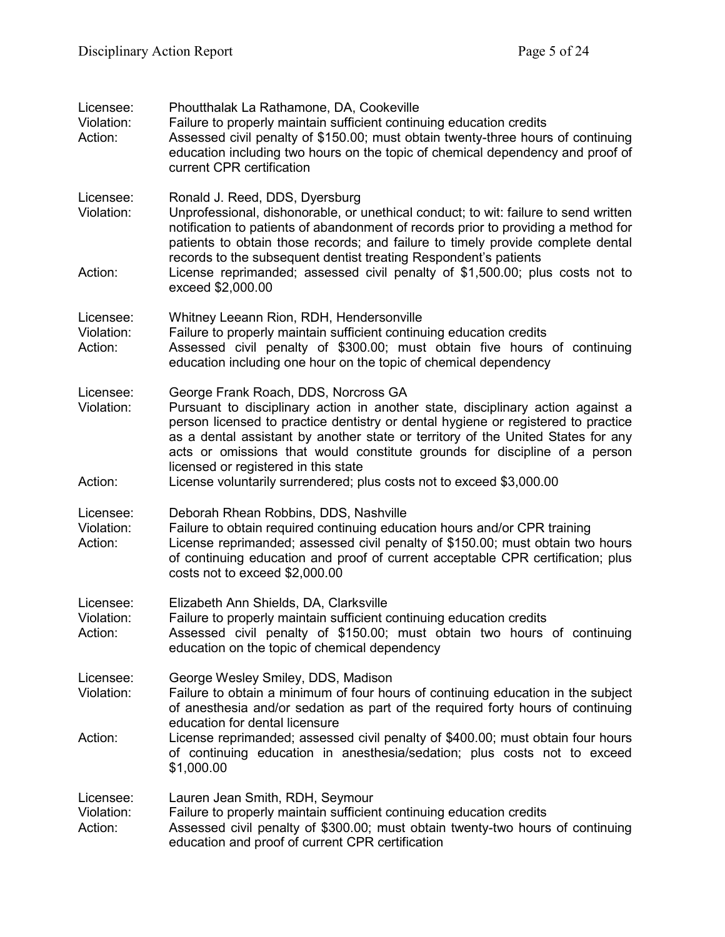| Licensee:<br>Violation:<br>Action: | Phoutthalak La Rathamone, DA, Cookeville<br>Failure to properly maintain sufficient continuing education credits<br>Assessed civil penalty of \$150.00; must obtain twenty-three hours of continuing<br>education including two hours on the topic of chemical dependency and proof of<br>current CPR certification                                                                                                                                                                            |
|------------------------------------|------------------------------------------------------------------------------------------------------------------------------------------------------------------------------------------------------------------------------------------------------------------------------------------------------------------------------------------------------------------------------------------------------------------------------------------------------------------------------------------------|
| Licensee:<br>Violation:<br>Action: | Ronald J. Reed, DDS, Dyersburg<br>Unprofessional, dishonorable, or unethical conduct; to wit: failure to send written<br>notification to patients of abandonment of records prior to providing a method for<br>patients to obtain those records; and failure to timely provide complete dental<br>records to the subsequent dentist treating Respondent's patients<br>License reprimanded; assessed civil penalty of \$1,500.00; plus costs not to                                             |
|                                    | exceed \$2,000.00                                                                                                                                                                                                                                                                                                                                                                                                                                                                              |
| Licensee:<br>Violation:<br>Action: | Whitney Leeann Rion, RDH, Hendersonville<br>Failure to properly maintain sufficient continuing education credits<br>Assessed civil penalty of \$300.00; must obtain five hours of continuing<br>education including one hour on the topic of chemical dependency                                                                                                                                                                                                                               |
| Licensee:<br>Violation:<br>Action: | George Frank Roach, DDS, Norcross GA<br>Pursuant to disciplinary action in another state, disciplinary action against a<br>person licensed to practice dentistry or dental hygiene or registered to practice<br>as a dental assistant by another state or territory of the United States for any<br>acts or omissions that would constitute grounds for discipline of a person<br>licensed or registered in this state<br>License voluntarily surrendered; plus costs not to exceed \$3,000.00 |
|                                    |                                                                                                                                                                                                                                                                                                                                                                                                                                                                                                |
| Licensee:<br>Violation:<br>Action: | Deborah Rhean Robbins, DDS, Nashville<br>Failure to obtain required continuing education hours and/or CPR training<br>License reprimanded; assessed civil penalty of \$150.00; must obtain two hours<br>of continuing education and proof of current acceptable CPR certification; plus<br>costs not to exceed \$2,000.00                                                                                                                                                                      |
| Licensee:<br>Violation:<br>Action: | Elizabeth Ann Shields, DA, Clarksville<br>Failure to properly maintain sufficient continuing education credits<br>Assessed civil penalty of \$150.00; must obtain two hours of continuing<br>education on the topic of chemical dependency                                                                                                                                                                                                                                                     |
| Licensee:<br>Violation:            | George Wesley Smiley, DDS, Madison<br>Failure to obtain a minimum of four hours of continuing education in the subject<br>of anesthesia and/or sedation as part of the required forty hours of continuing<br>education for dental licensure                                                                                                                                                                                                                                                    |
| Action:                            | License reprimanded; assessed civil penalty of \$400.00; must obtain four hours<br>of continuing education in anesthesia/sedation; plus costs not to exceed<br>\$1,000.00                                                                                                                                                                                                                                                                                                                      |
| Licensee:<br>Violation:<br>Action: | Lauren Jean Smith, RDH, Seymour<br>Failure to properly maintain sufficient continuing education credits<br>Assessed civil penalty of \$300.00; must obtain twenty-two hours of continuing<br>education and proof of current CPR certification                                                                                                                                                                                                                                                  |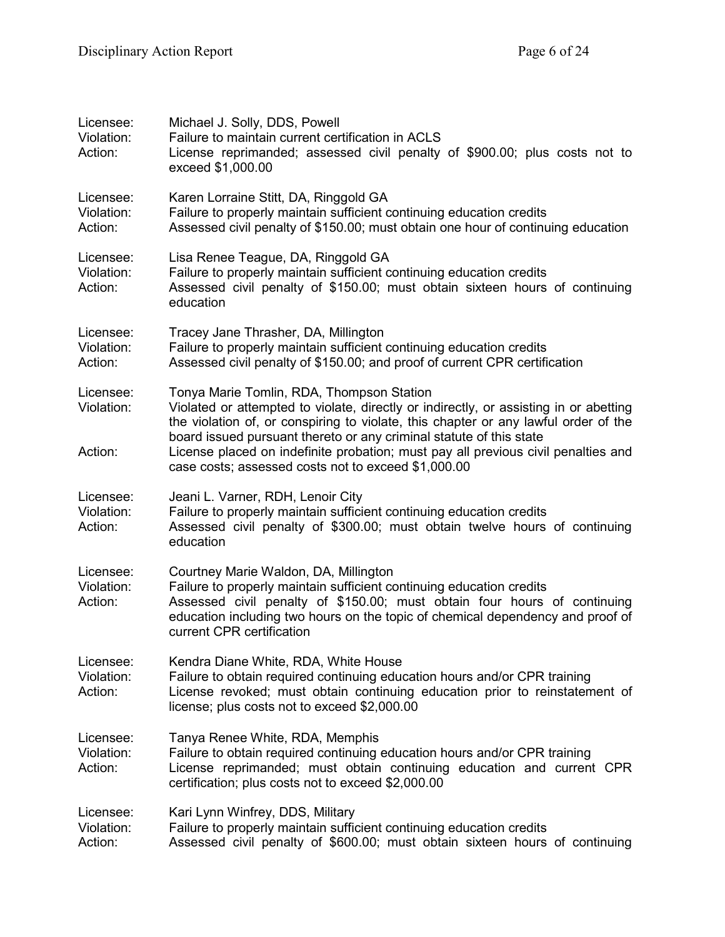| Licensee:<br>Violation:<br>Action: | Michael J. Solly, DDS, Powell<br>Failure to maintain current certification in ACLS<br>License reprimanded; assessed civil penalty of \$900.00; plus costs not to<br>exceed \$1,000.00                                                                                                                                                                                                                                                        |
|------------------------------------|----------------------------------------------------------------------------------------------------------------------------------------------------------------------------------------------------------------------------------------------------------------------------------------------------------------------------------------------------------------------------------------------------------------------------------------------|
| Licensee:<br>Violation:<br>Action: | Karen Lorraine Stitt, DA, Ringgold GA<br>Failure to properly maintain sufficient continuing education credits<br>Assessed civil penalty of \$150.00; must obtain one hour of continuing education                                                                                                                                                                                                                                            |
| Licensee:<br>Violation:<br>Action: | Lisa Renee Teague, DA, Ringgold GA<br>Failure to properly maintain sufficient continuing education credits<br>Assessed civil penalty of \$150.00; must obtain sixteen hours of continuing<br>education                                                                                                                                                                                                                                       |
| Licensee:<br>Violation:<br>Action: | Tracey Jane Thrasher, DA, Millington<br>Failure to properly maintain sufficient continuing education credits<br>Assessed civil penalty of \$150.00; and proof of current CPR certification                                                                                                                                                                                                                                                   |
| Licensee:<br>Violation:<br>Action: | Tonya Marie Tomlin, RDA, Thompson Station<br>Violated or attempted to violate, directly or indirectly, or assisting in or abetting<br>the violation of, or conspiring to violate, this chapter or any lawful order of the<br>board issued pursuant thereto or any criminal statute of this state<br>License placed on indefinite probation; must pay all previous civil penalties and<br>case costs; assessed costs not to exceed \$1,000.00 |
| Licensee:<br>Violation:<br>Action: | Jeani L. Varner, RDH, Lenoir City<br>Failure to properly maintain sufficient continuing education credits<br>Assessed civil penalty of \$300.00; must obtain twelve hours of continuing<br>education                                                                                                                                                                                                                                         |
| Licensee:<br>Violation:<br>Action: | Courtney Marie Waldon, DA, Millington<br>Failure to properly maintain sufficient continuing education credits<br>Assessed civil penalty of \$150.00; must obtain four hours of continuing<br>education including two hours on the topic of chemical dependency and proof of<br>current CPR certification                                                                                                                                     |
| Licensee:<br>Violation:<br>Action: | Kendra Diane White, RDA, White House<br>Failure to obtain required continuing education hours and/or CPR training<br>License revoked; must obtain continuing education prior to reinstatement of<br>license; plus costs not to exceed \$2,000.00                                                                                                                                                                                             |
| Licensee:<br>Violation:<br>Action: | Tanya Renee White, RDA, Memphis<br>Failure to obtain required continuing education hours and/or CPR training<br>License reprimanded; must obtain continuing education and current CPR<br>certification; plus costs not to exceed \$2,000.00                                                                                                                                                                                                  |
| Licensee:<br>Violation:<br>Action: | Kari Lynn Winfrey, DDS, Military<br>Failure to properly maintain sufficient continuing education credits<br>Assessed civil penalty of \$600.00; must obtain sixteen hours of continuing                                                                                                                                                                                                                                                      |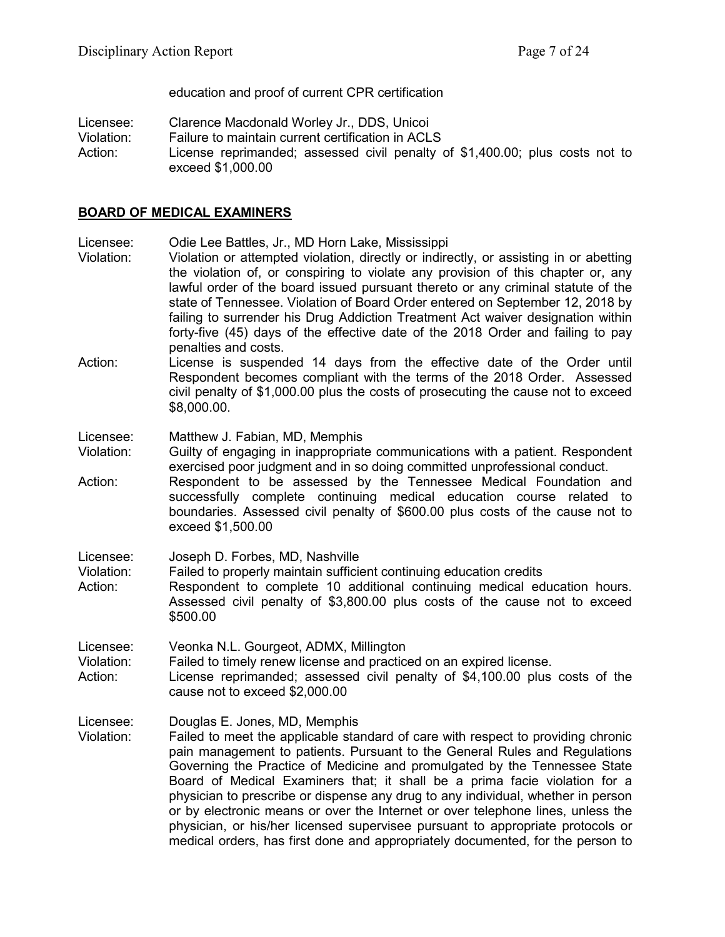education and proof of current CPR certification

Licensee: Clarence Macdonald Worley Jr., DDS, Unicoi

Failure to maintain current certification in ACLS

Action: License reprimanded; assessed civil penalty of \$1,400.00; plus costs not to exceed \$1,000.00

#### **BOARD OF MEDICAL EXAMINERS**

Licensee: Odie Lee Battles, Jr., MD Horn Lake, Mississippi

- Violation: Violation or attempted violation, directly or indirectly, or assisting in or abetting the violation of, or conspiring to violate any provision of this chapter or, any lawful order of the board issued pursuant thereto or any criminal statute of the state of Tennessee. Violation of Board Order entered on September 12, 2018 by failing to surrender his Drug Addiction Treatment Act waiver designation within forty-five (45) days of the effective date of the 2018 Order and failing to pay penalties and costs.
- Action: License is suspended 14 days from the effective date of the Order until Respondent becomes compliant with the terms of the 2018 Order. Assessed civil penalty of \$1,000.00 plus the costs of prosecuting the cause not to exceed \$8,000.00.

Licensee: Matthew J. Fabian, MD, Memphis

Violation: Guilty of engaging in inappropriate communications with a patient. Respondent exercised poor judgment and in so doing committed unprofessional conduct.

Action: Respondent to be assessed by the Tennessee Medical Foundation and successfully complete continuing medical education course related to boundaries. Assessed civil penalty of \$600.00 plus costs of the cause not to exceed \$1,500.00

Licensee: Joseph D. Forbes, MD, Nashville<br>Violation: Failed to properly maintain sufficie

Failed to properly maintain sufficient continuing education credits

Action: Respondent to complete 10 additional continuing medical education hours. Assessed civil penalty of \$3,800.00 plus costs of the cause not to exceed \$500.00

Licensee: Veonka N.L. Gourgeot, ADMX, Millington

Violation: Failed to timely renew license and practiced on an expired license.

Action: License reprimanded; assessed civil penalty of \$4,100.00 plus costs of the cause not to exceed \$2,000.00

Licensee: Douglas E. Jones, MD, Memphis

Violation: Failed to meet the applicable standard of care with respect to providing chronic pain management to patients. Pursuant to the General Rules and Regulations Governing the Practice of Medicine and promulgated by the Tennessee State Board of Medical Examiners that; it shall be a prima facie violation for a physician to prescribe or dispense any drug to any individual, whether in person or by electronic means or over the Internet or over telephone lines, unless the physician, or his/her licensed supervisee pursuant to appropriate protocols or medical orders, has first done and appropriately documented, for the person to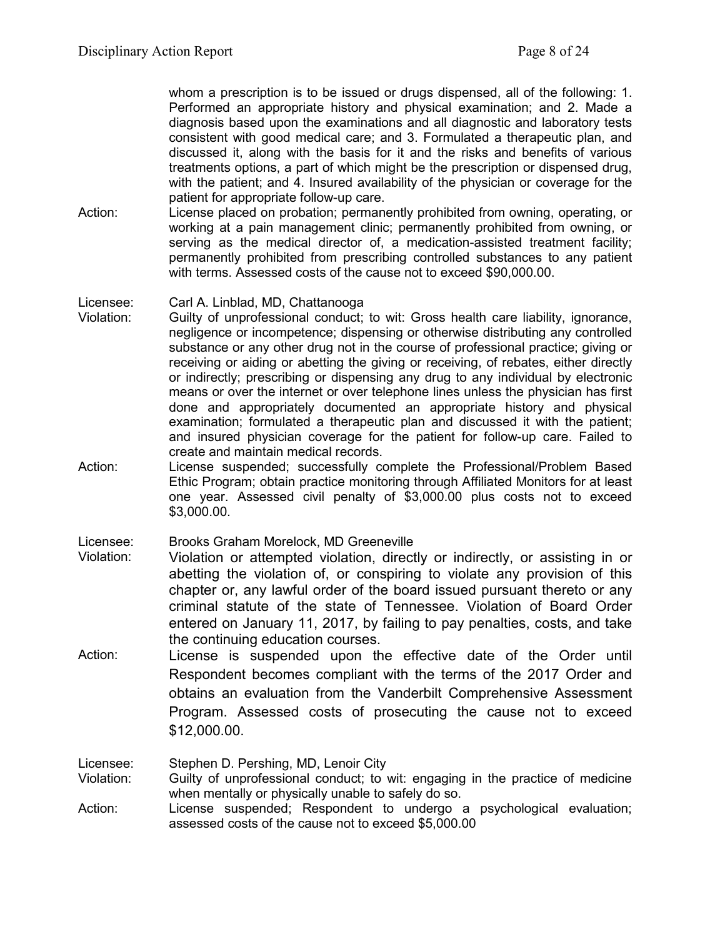whom a prescription is to be issued or drugs dispensed, all of the following: 1. Performed an appropriate history and physical examination; and 2. Made a diagnosis based upon the examinations and all diagnostic and laboratory tests consistent with good medical care; and 3. Formulated a therapeutic plan, and discussed it, along with the basis for it and the risks and benefits of various treatments options, a part of which might be the prescription or dispensed drug, with the patient; and 4. Insured availability of the physician or coverage for the patient for appropriate follow-up care.

Action: License placed on probation; permanently prohibited from owning, operating, or working at a pain management clinic; permanently prohibited from owning, or serving as the medical director of, a medication-assisted treatment facility; permanently prohibited from prescribing controlled substances to any patient with terms. Assessed costs of the cause not to exceed \$90,000.00.

#### Licensee: Carl A. Linblad, MD, Chattanooga

- Violation: Guilty of unprofessional conduct; to wit: Gross health care liability, ignorance, negligence or incompetence; dispensing or otherwise distributing any controlled substance or any other drug not in the course of professional practice; giving or receiving or aiding or abetting the giving or receiving, of rebates, either directly or indirectly; prescribing or dispensing any drug to any individual by electronic means or over the internet or over telephone lines unless the physician has first done and appropriately documented an appropriate history and physical examination; formulated a therapeutic plan and discussed it with the patient; and insured physician coverage for the patient for follow-up care. Failed to create and maintain medical records.
- Action: License suspended; successfully complete the Professional/Problem Based Ethic Program; obtain practice monitoring through Affiliated Monitors for at least one year. Assessed civil penalty of \$3,000.00 plus costs not to exceed \$3,000.00.

Licensee: Brooks Graham Morelock, MD Greeneville

- Violation: Violation or attempted violation, directly or indirectly, or assisting in or abetting the violation of, or conspiring to violate any provision of this chapter or, any lawful order of the board issued pursuant thereto or any criminal statute of the state of Tennessee. Violation of Board Order entered on January 11, 2017, by failing to pay penalties, costs, and take the continuing education courses.
- Action: License is suspended upon the effective date of the Order until Respondent becomes compliant with the terms of the 2017 Order and obtains an evaluation from the Vanderbilt Comprehensive Assessment Program. Assessed costs of prosecuting the cause not to exceed \$12,000.00.

Licensee: Stephen D. Pershing, MD, Lenoir City

- Violation: Guilty of unprofessional conduct; to wit: engaging in the practice of medicine when mentally or physically unable to safely do so.
- Action: License suspended; Respondent to undergo a psychological evaluation; assessed costs of the cause not to exceed \$5,000.00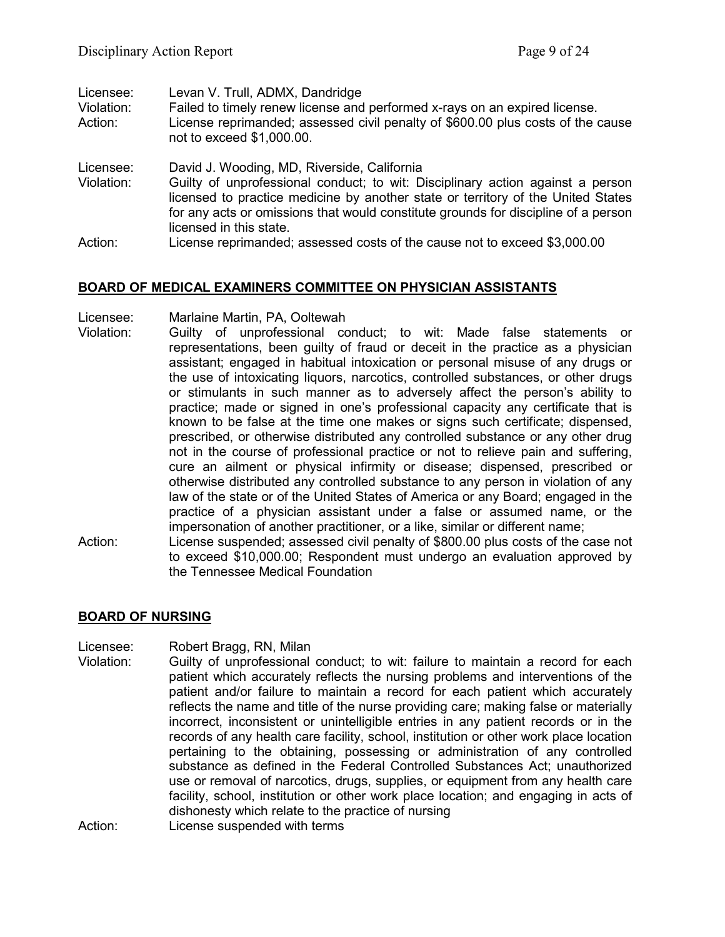| Licensee:<br>Violation:<br>Action: | Levan V. Trull, ADMX, Dandridge<br>Failed to timely renew license and performed x-rays on an expired license.<br>License reprimanded; assessed civil penalty of \$600.00 plus costs of the cause<br>not to exceed \$1,000.00. |
|------------------------------------|-------------------------------------------------------------------------------------------------------------------------------------------------------------------------------------------------------------------------------|
| Licensee:<br>Violation:            | David J. Wooding, MD, Riverside, California<br>Guilty of unprofessional conduct; to wit: Disciplinary action against a person<br>licensed to practice medicine by another state or territory of the United States             |
|                                    | for any acts or omissions that would constitute grounds for discipline of a person<br>licensed in this state.                                                                                                                 |
| Action:                            | License reprimanded; assessed costs of the cause not to exceed \$3,000.00                                                                                                                                                     |

## **BOARD OF MEDICAL EXAMINERS COMMITTEE ON PHYSICIAN ASSISTANTS**

Licensee: Marlaine Martin, PA, Ooltewah

- Violation: Guilty of unprofessional conduct; to wit: Made false statements or representations, been guilty of fraud or deceit in the practice as a physician assistant; engaged in habitual intoxication or personal misuse of any drugs or the use of intoxicating liquors, narcotics, controlled substances, or other drugs or stimulants in such manner as to adversely affect the person's ability to practice; made or signed in one's professional capacity any certificate that is known to be false at the time one makes or signs such certificate; dispensed, prescribed, or otherwise distributed any controlled substance or any other drug not in the course of professional practice or not to relieve pain and suffering, cure an ailment or physical infirmity or disease; dispensed, prescribed or otherwise distributed any controlled substance to any person in violation of any law of the state or of the United States of America or any Board; engaged in the practice of a physician assistant under a false or assumed name, or the impersonation of another practitioner, or a like, similar or different name;
- Action: License suspended; assessed civil penalty of \$800.00 plus costs of the case not to exceed \$10,000.00; Respondent must undergo an evaluation approved by the Tennessee Medical Foundation

#### **BOARD OF NURSING**

- Licensee: Robert Bragg, RN, Milan
- Violation: Guilty of unprofessional conduct; to wit: failure to maintain a record for each patient which accurately reflects the nursing problems and interventions of the patient and/or failure to maintain a record for each patient which accurately reflects the name and title of the nurse providing care; making false or materially incorrect, inconsistent or unintelligible entries in any patient records or in the records of any health care facility, school, institution or other work place location pertaining to the obtaining, possessing or administration of any controlled substance as defined in the Federal Controlled Substances Act; unauthorized use or removal of narcotics, drugs, supplies, or equipment from any health care facility, school, institution or other work place location; and engaging in acts of dishonesty which relate to the practice of nursing
- Action: License suspended with terms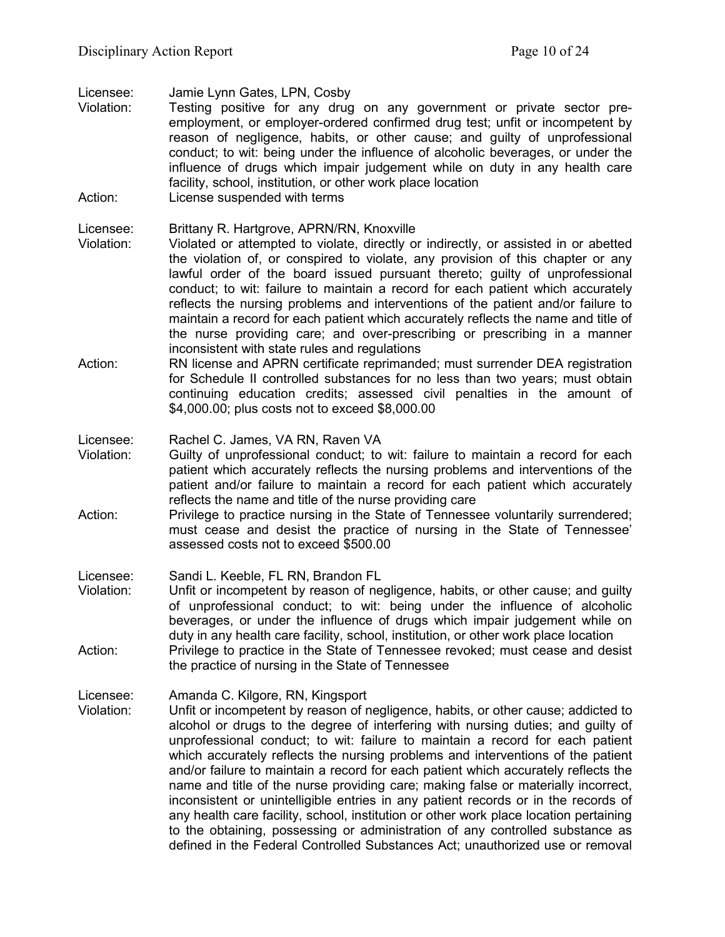Licensee: Jamie Lynn Gates, LPN, Cosby

- Violation: Testing positive for any drug on any government or private sector preemployment, or employer-ordered confirmed drug test; unfit or incompetent by reason of negligence, habits, or other cause; and guilty of unprofessional conduct; to wit: being under the influence of alcoholic beverages, or under the influence of drugs which impair judgement while on duty in any health care facility, school, institution, or other work place location Action: License suspended with terms
- 

### Licensee: Brittany R. Hartgrove, APRN/RN, Knoxville

- Violation: Violated or attempted to violate, directly or indirectly, or assisted in or abetted the violation of, or conspired to violate, any provision of this chapter or any lawful order of the board issued pursuant thereto; guilty of unprofessional conduct; to wit: failure to maintain a record for each patient which accurately reflects the nursing problems and interventions of the patient and/or failure to maintain a record for each patient which accurately reflects the name and title of the nurse providing care; and over-prescribing or prescribing in a manner inconsistent with state rules and regulations
- Action: RN license and APRN certificate reprimanded; must surrender DEA registration for Schedule II controlled substances for no less than two years; must obtain continuing education credits; assessed civil penalties in the amount of \$4,000.00; plus costs not to exceed \$8,000.00

#### Licensee: Rachel C. James, VA RN, Raven VA

- Violation: Guilty of unprofessional conduct; to wit: failure to maintain a record for each patient which accurately reflects the nursing problems and interventions of the patient and/or failure to maintain a record for each patient which accurately reflects the name and title of the nurse providing care
- Action: Privilege to practice nursing in the State of Tennessee voluntarily surrendered; must cease and desist the practice of nursing in the State of Tennessee' assessed costs not to exceed \$500.00

#### Licensee: Sandi L. Keeble, FL RN, Brandon FL

Violation: Unfit or incompetent by reason of negligence, habits, or other cause; and guilty of unprofessional conduct; to wit: being under the influence of alcoholic beverages, or under the influence of drugs which impair judgement while on duty in any health care facility, school, institution, or other work place location Action: Privilege to practice in the State of Tennessee revoked; must cease and desist the practice of nursing in the State of Tennessee

# Licensee: Amanda C. Kilgore, RN, Kingsport

Violation: Unfit or incompetent by reason of negligence, habits, or other cause; addicted to alcohol or drugs to the degree of interfering with nursing duties; and guilty of unprofessional conduct; to wit: failure to maintain a record for each patient which accurately reflects the nursing problems and interventions of the patient and/or failure to maintain a record for each patient which accurately reflects the name and title of the nurse providing care; making false or materially incorrect, inconsistent or unintelligible entries in any patient records or in the records of any health care facility, school, institution or other work place location pertaining to the obtaining, possessing or administration of any controlled substance as defined in the Federal Controlled Substances Act; unauthorized use or removal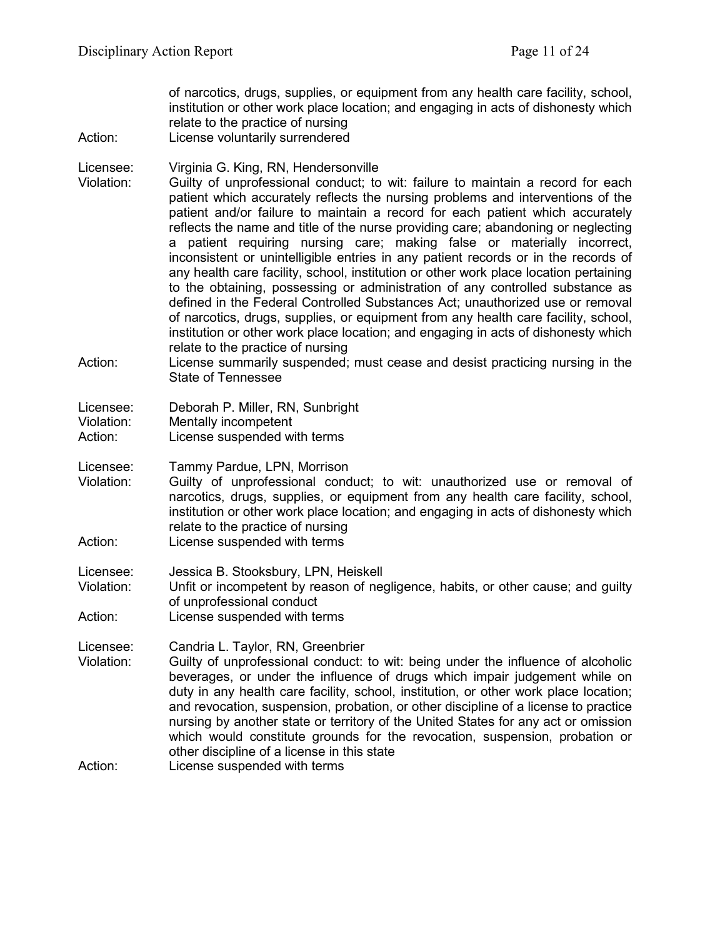of narcotics, drugs, supplies, or equipment from any health care facility, school, institution or other work place location; and engaging in acts of dishonesty which relate to the practice of nursing

Action: License voluntarily surrendered

Licensee: Virginia G. King, RN, Hendersonville

- Violation: Guilty of unprofessional conduct; to wit: failure to maintain a record for each patient which accurately reflects the nursing problems and interventions of the patient and/or failure to maintain a record for each patient which accurately reflects the name and title of the nurse providing care; abandoning or neglecting a patient requiring nursing care; making false or materially incorrect, inconsistent or unintelligible entries in any patient records or in the records of any health care facility, school, institution or other work place location pertaining to the obtaining, possessing or administration of any controlled substance as defined in the Federal Controlled Substances Act; unauthorized use or removal of narcotics, drugs, supplies, or equipment from any health care facility, school, institution or other work place location; and engaging in acts of dishonesty which relate to the practice of nursing
- Action: License summarily suspended; must cease and desist practicing nursing in the State of Tennessee

| Licensee:  | Deborah P. Miller, RN, Sunbright |
|------------|----------------------------------|
| Violation: | Mentally incompetent             |
| Action:    | License suspended with terms     |

Licensee: Tammy Pardue, LPN, Morrison

- Violation: Guilty of unprofessional conduct; to wit: unauthorized use or removal of narcotics, drugs, supplies, or equipment from any health care facility, school, institution or other work place location; and engaging in acts of dishonesty which relate to the practice of nursing
- Action: License suspended with terms

Licensee: Jessica B. Stooksbury, LPN, Heiskell

Violation: Unfit or incompetent by reason of negligence, habits, or other cause; and guilty of unprofessional conduct

Action: License suspended with terms

Licensee: Candria L. Taylor, RN, Greenbrier

Violation: Guilty of unprofessional conduct: to wit: being under the influence of alcoholic beverages, or under the influence of drugs which impair judgement while on duty in any health care facility, school, institution, or other work place location; and revocation, suspension, probation, or other discipline of a license to practice nursing by another state or territory of the United States for any act or omission which would constitute grounds for the revocation, suspension, probation or other discipline of a license in this state

Action: License suspended with terms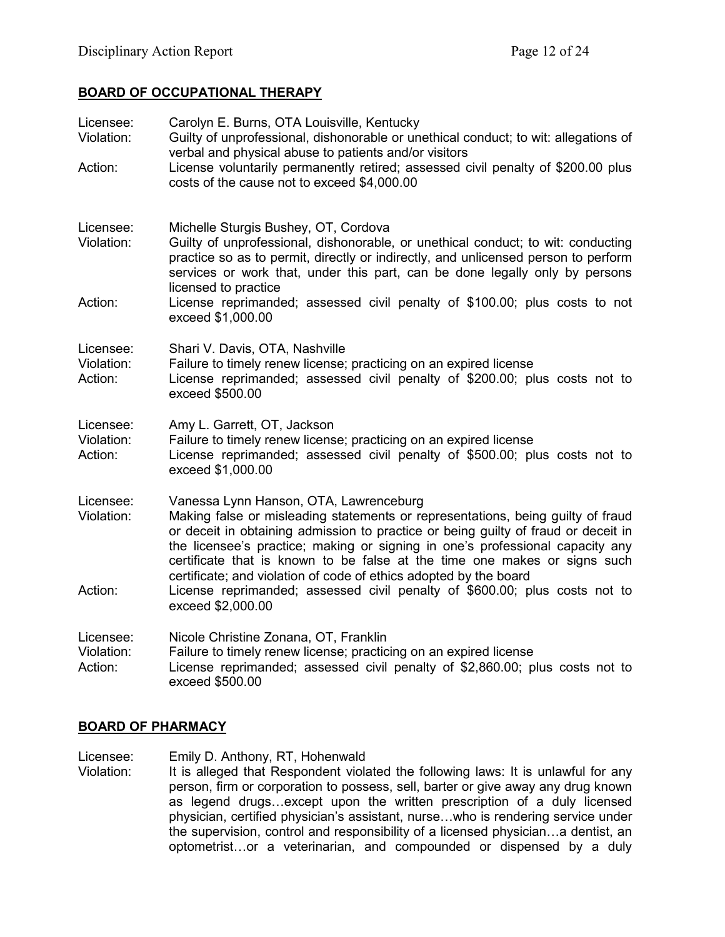# **BOARD OF OCCUPATIONAL THERAPY**

| Licensee:<br>Violation:<br>Action: | Carolyn E. Burns, OTA Louisville, Kentucky<br>Guilty of unprofessional, dishonorable or unethical conduct; to wit: allegations of<br>verbal and physical abuse to patients and/or visitors<br>License voluntarily permanently retired; assessed civil penalty of \$200.00 plus<br>costs of the cause not to exceed \$4,000.00                                                                                                                      |
|------------------------------------|----------------------------------------------------------------------------------------------------------------------------------------------------------------------------------------------------------------------------------------------------------------------------------------------------------------------------------------------------------------------------------------------------------------------------------------------------|
| Licensee:<br>Violation:            | Michelle Sturgis Bushey, OT, Cordova<br>Guilty of unprofessional, dishonorable, or unethical conduct; to wit: conducting<br>practice so as to permit, directly or indirectly, and unlicensed person to perform<br>services or work that, under this part, can be done legally only by persons<br>licensed to practice                                                                                                                              |
| Action:                            | License reprimanded; assessed civil penalty of \$100.00; plus costs to not<br>exceed \$1,000.00                                                                                                                                                                                                                                                                                                                                                    |
| Licensee:<br>Violation:<br>Action: | Shari V. Davis, OTA, Nashville<br>Failure to timely renew license; practicing on an expired license<br>License reprimanded; assessed civil penalty of \$200.00; plus costs not to<br>exceed \$500.00                                                                                                                                                                                                                                               |
| Licensee:<br>Violation:<br>Action: | Amy L. Garrett, OT, Jackson<br>Failure to timely renew license; practicing on an expired license<br>License reprimanded; assessed civil penalty of \$500.00; plus costs not to<br>exceed \$1,000.00                                                                                                                                                                                                                                                |
| Licensee:<br>Violation:            | Vanessa Lynn Hanson, OTA, Lawrenceburg<br>Making false or misleading statements or representations, being guilty of fraud<br>or deceit in obtaining admission to practice or being guilty of fraud or deceit in<br>the licensee's practice; making or signing in one's professional capacity any<br>certificate that is known to be false at the time one makes or signs such<br>certificate; and violation of code of ethics adopted by the board |
| Action:                            | License reprimanded; assessed civil penalty of \$600.00; plus costs not to<br>exceed \$2,000.00                                                                                                                                                                                                                                                                                                                                                    |
| Licensee:<br>Violation:<br>Action: | Nicole Christine Zonana, OT, Franklin<br>Failure to timely renew license; practicing on an expired license<br>License reprimanded; assessed civil penalty of \$2,860.00; plus costs not to<br>exceed \$500.00                                                                                                                                                                                                                                      |

## **BOARD OF PHARMACY**

Licensee: Emily D. Anthony, RT, Hohenwald

Violation: It is alleged that Respondent violated the following laws: It is unlawful for any person, firm or corporation to possess, sell, barter or give away any drug known as legend drugs…except upon the written prescription of a duly licensed physician, certified physician's assistant, nurse…who is rendering service under the supervision, control and responsibility of a licensed physician…a dentist, an optometrist…or a veterinarian, and compounded or dispensed by a duly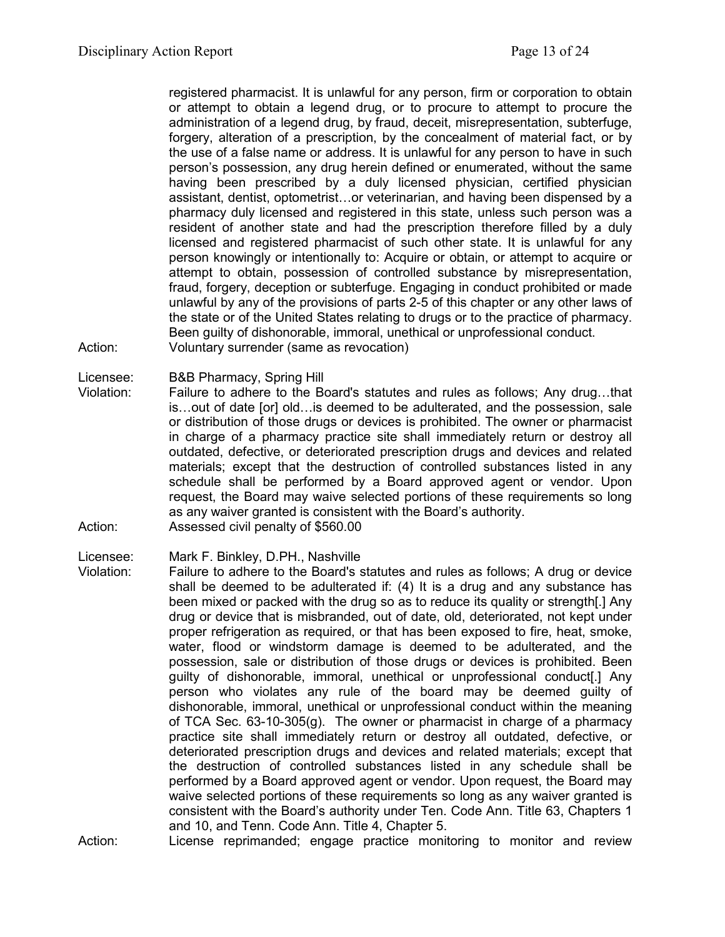registered pharmacist. It is unlawful for any person, firm or corporation to obtain or attempt to obtain a legend drug, or to procure to attempt to procure the administration of a legend drug, by fraud, deceit, misrepresentation, subterfuge, forgery, alteration of a prescription, by the concealment of material fact, or by the use of a false name or address. It is unlawful for any person to have in such person's possession, any drug herein defined or enumerated, without the same having been prescribed by a duly licensed physician, certified physician assistant, dentist, optometrist…or veterinarian, and having been dispensed by a pharmacy duly licensed and registered in this state, unless such person was a resident of another state and had the prescription therefore filled by a duly licensed and registered pharmacist of such other state. It is unlawful for any person knowingly or intentionally to: Acquire or obtain, or attempt to acquire or attempt to obtain, possession of controlled substance by misrepresentation, fraud, forgery, deception or subterfuge. Engaging in conduct prohibited or made unlawful by any of the provisions of parts 2-5 of this chapter or any other laws of the state or of the United States relating to drugs or to the practice of pharmacy. Been guilty of dishonorable, immoral, unethical or unprofessional conduct. Action: Voluntary surrender (same as revocation)

Licensee: B&B Pharmacy, Spring Hill

Violation: Failure to adhere to the Board's statutes and rules as follows; Any drug…that is…out of date [or] old…is deemed to be adulterated, and the possession, sale or distribution of those drugs or devices is prohibited. The owner or pharmacist in charge of a pharmacy practice site shall immediately return or destroy all outdated, defective, or deteriorated prescription drugs and devices and related materials; except that the destruction of controlled substances listed in any schedule shall be performed by a Board approved agent or vendor. Upon request, the Board may waive selected portions of these requirements so long as any waiver granted is consistent with the Board's authority. Action: Assessed civil penalty of \$560.00

Licensee: Mark F. Binkley, D.PH., Nashville

- Violation: Failure to adhere to the Board's statutes and rules as follows; A drug or device shall be deemed to be adulterated if: (4) It is a drug and any substance has been mixed or packed with the drug so as to reduce its quality or strength[.] Any drug or device that is misbranded, out of date, old, deteriorated, not kept under proper refrigeration as required, or that has been exposed to fire, heat, smoke, water, flood or windstorm damage is deemed to be adulterated, and the possession, sale or distribution of those drugs or devices is prohibited. Been guilty of dishonorable, immoral, unethical or unprofessional conduct[.] Any person who violates any rule of the board may be deemed guilty of dishonorable, immoral, unethical or unprofessional conduct within the meaning of TCA Sec. 63-10-305(g). The owner or pharmacist in charge of a pharmacy practice site shall immediately return or destroy all outdated, defective, or deteriorated prescription drugs and devices and related materials; except that the destruction of controlled substances listed in any schedule shall be performed by a Board approved agent or vendor. Upon request, the Board may waive selected portions of these requirements so long as any waiver granted is consistent with the Board's authority under Ten. Code Ann. Title 63, Chapters 1 and 10, and Tenn. Code Ann. Title 4, Chapter 5.
- Action: License reprimanded; engage practice monitoring to monitor and review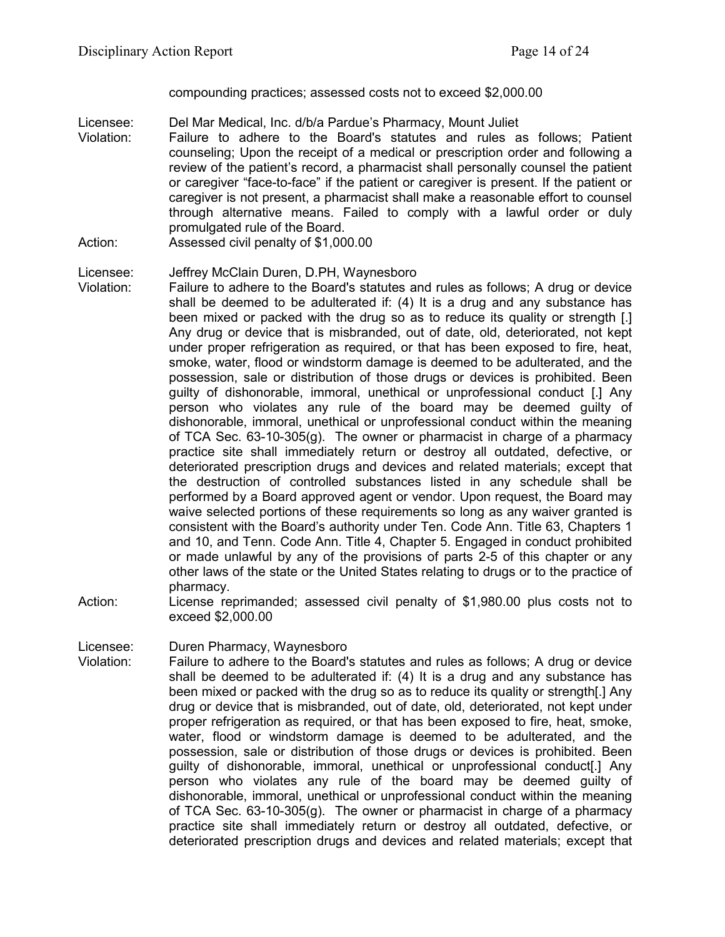compounding practices; assessed costs not to exceed \$2,000.00

- Licensee: Del Mar Medical, Inc. d/b/a Pardue's Pharmacy, Mount Juliet<br>Violation: Failure to adhere to the Board's statutes and rules a Failure to adhere to the Board's statutes and rules as follows; Patient counseling; Upon the receipt of a medical or prescription order and following a review of the patient's record, a pharmacist shall personally counsel the patient or caregiver "face-to-face" if the patient or caregiver is present. If the patient or caregiver is not present, a pharmacist shall make a reasonable effort to counsel through alternative means. Failed to comply with a lawful order or duly promulgated rule of the Board.
- Action: Assessed civil penalty of \$1,000.00

## Licensee: Jeffrey McClain Duren, D.PH, Waynesboro

- Violation: Failure to adhere to the Board's statutes and rules as follows; A drug or device shall be deemed to be adulterated if: (4) It is a drug and any substance has been mixed or packed with the drug so as to reduce its quality or strength [.] Any drug or device that is misbranded, out of date, old, deteriorated, not kept under proper refrigeration as required, or that has been exposed to fire, heat, smoke, water, flood or windstorm damage is deemed to be adulterated, and the possession, sale or distribution of those drugs or devices is prohibited. Been guilty of dishonorable, immoral, unethical or unprofessional conduct [.] Any person who violates any rule of the board may be deemed guilty of dishonorable, immoral, unethical or unprofessional conduct within the meaning of TCA Sec. 63-10-305(g). The owner or pharmacist in charge of a pharmacy practice site shall immediately return or destroy all outdated, defective, or deteriorated prescription drugs and devices and related materials; except that the destruction of controlled substances listed in any schedule shall be performed by a Board approved agent or vendor. Upon request, the Board may waive selected portions of these requirements so long as any waiver granted is consistent with the Board's authority under Ten. Code Ann. Title 63, Chapters 1 and 10, and Tenn. Code Ann. Title 4, Chapter 5. Engaged in conduct prohibited or made unlawful by any of the provisions of parts 2-5 of this chapter or any other laws of the state or the United States relating to drugs or to the practice of pharmacy.
- Action: License reprimanded; assessed civil penalty of \$1,980.00 plus costs not to exceed \$2,000.00

Licensee: Duren Pharmacy, Waynesboro

Violation: Failure to adhere to the Board's statutes and rules as follows; A drug or device shall be deemed to be adulterated if: (4) It is a drug and any substance has been mixed or packed with the drug so as to reduce its quality or strength[.] Any drug or device that is misbranded, out of date, old, deteriorated, not kept under proper refrigeration as required, or that has been exposed to fire, heat, smoke, water, flood or windstorm damage is deemed to be adulterated, and the possession, sale or distribution of those drugs or devices is prohibited. Been guilty of dishonorable, immoral, unethical or unprofessional conduct[.] Any person who violates any rule of the board may be deemed guilty of dishonorable, immoral, unethical or unprofessional conduct within the meaning of TCA Sec. 63-10-305(g). The owner or pharmacist in charge of a pharmacy practice site shall immediately return or destroy all outdated, defective, or deteriorated prescription drugs and devices and related materials; except that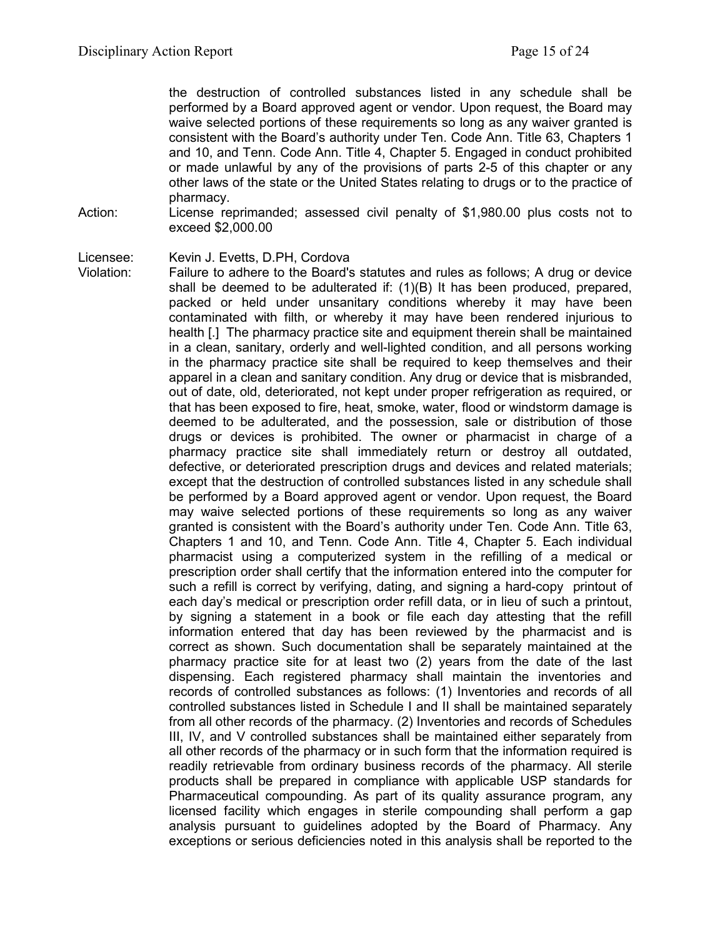the destruction of controlled substances listed in any schedule shall be performed by a Board approved agent or vendor. Upon request, the Board may waive selected portions of these requirements so long as any waiver granted is consistent with the Board's authority under Ten. Code Ann. Title 63, Chapters 1 and 10, and Tenn. Code Ann. Title 4, Chapter 5. Engaged in conduct prohibited or made unlawful by any of the provisions of parts 2-5 of this chapter or any other laws of the state or the United States relating to drugs or to the practice of pharmacy.

Action: License reprimanded; assessed civil penalty of \$1,980.00 plus costs not to exceed \$2,000.00

Licensee: Kevin J. Evetts, D.PH, Cordova

Violation: Failure to adhere to the Board's statutes and rules as follows; A drug or device shall be deemed to be adulterated if: (1)(B) It has been produced, prepared, packed or held under unsanitary conditions whereby it may have been contaminated with filth, or whereby it may have been rendered injurious to health [.] The pharmacy practice site and equipment therein shall be maintained in a clean, sanitary, orderly and well-lighted condition, and all persons working in the pharmacy practice site shall be required to keep themselves and their apparel in a clean and sanitary condition. Any drug or device that is misbranded, out of date, old, deteriorated, not kept under proper refrigeration as required, or that has been exposed to fire, heat, smoke, water, flood or windstorm damage is deemed to be adulterated, and the possession, sale or distribution of those drugs or devices is prohibited. The owner or pharmacist in charge of a pharmacy practice site shall immediately return or destroy all outdated, defective, or deteriorated prescription drugs and devices and related materials; except that the destruction of controlled substances listed in any schedule shall be performed by a Board approved agent or vendor. Upon request, the Board may waive selected portions of these requirements so long as any waiver granted is consistent with the Board's authority under Ten. Code Ann. Title 63, Chapters 1 and 10, and Tenn. Code Ann. Title 4, Chapter 5. Each individual pharmacist using a computerized system in the refilling of a medical or prescription order shall certify that the information entered into the computer for such a refill is correct by verifying, dating, and signing a hard-copy printout of each day's medical or prescription order refill data, or in lieu of such a printout, by signing a statement in a book or file each day attesting that the refill information entered that day has been reviewed by the pharmacist and is correct as shown. Such documentation shall be separately maintained at the pharmacy practice site for at least two (2) years from the date of the last dispensing. Each registered pharmacy shall maintain the inventories and records of controlled substances as follows: (1) Inventories and records of all controlled substances listed in Schedule I and II shall be maintained separately from all other records of the pharmacy. (2) Inventories and records of Schedules III, IV, and V controlled substances shall be maintained either separately from all other records of the pharmacy or in such form that the information required is readily retrievable from ordinary business records of the pharmacy. All sterile products shall be prepared in compliance with applicable USP standards for Pharmaceutical compounding. As part of its quality assurance program, any licensed facility which engages in sterile compounding shall perform a gap analysis pursuant to guidelines adopted by the Board of Pharmacy. Any exceptions or serious deficiencies noted in this analysis shall be reported to the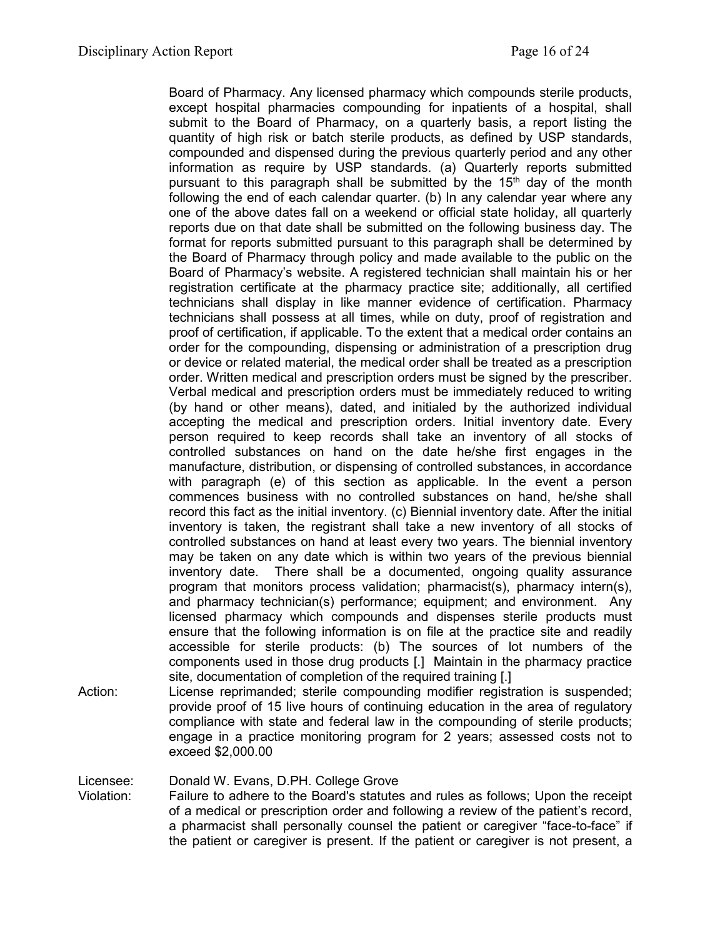Board of Pharmacy. Any licensed pharmacy which compounds sterile products, except hospital pharmacies compounding for inpatients of a hospital, shall submit to the Board of Pharmacy, on a quarterly basis, a report listing the quantity of high risk or batch sterile products, as defined by USP standards, compounded and dispensed during the previous quarterly period and any other information as require by USP standards. (a) Quarterly reports submitted pursuant to this paragraph shall be submitted by the  $15<sup>th</sup>$  day of the month following the end of each calendar quarter. (b) In any calendar year where any one of the above dates fall on a weekend or official state holiday, all quarterly reports due on that date shall be submitted on the following business day. The format for reports submitted pursuant to this paragraph shall be determined by the Board of Pharmacy through policy and made available to the public on the Board of Pharmacy's website. A registered technician shall maintain his or her registration certificate at the pharmacy practice site; additionally, all certified technicians shall display in like manner evidence of certification. Pharmacy technicians shall possess at all times, while on duty, proof of registration and proof of certification, if applicable. To the extent that a medical order contains an order for the compounding, dispensing or administration of a prescription drug or device or related material, the medical order shall be treated as a prescription order. Written medical and prescription orders must be signed by the prescriber. Verbal medical and prescription orders must be immediately reduced to writing (by hand or other means), dated, and initialed by the authorized individual accepting the medical and prescription orders. Initial inventory date. Every person required to keep records shall take an inventory of all stocks of controlled substances on hand on the date he/she first engages in the manufacture, distribution, or dispensing of controlled substances, in accordance with paragraph (e) of this section as applicable. In the event a person commences business with no controlled substances on hand, he/she shall record this fact as the initial inventory. (c) Biennial inventory date. After the initial inventory is taken, the registrant shall take a new inventory of all stocks of controlled substances on hand at least every two years. The biennial inventory may be taken on any date which is within two years of the previous biennial inventory date. There shall be a documented, ongoing quality assurance program that monitors process validation; pharmacist(s), pharmacy intern(s), and pharmacy technician(s) performance; equipment; and environment. Any licensed pharmacy which compounds and dispenses sterile products must ensure that the following information is on file at the practice site and readily accessible for sterile products: (b) The sources of lot numbers of the components used in those drug products [.] Maintain in the pharmacy practice site, documentation of completion of the required training [.]

Action: License reprimanded; sterile compounding modifier registration is suspended; provide proof of 15 live hours of continuing education in the area of regulatory compliance with state and federal law in the compounding of sterile products; engage in a practice monitoring program for 2 years; assessed costs not to exceed \$2,000.00

Licensee: Donald W. Evans, D.PH. College Grove<br>Violation: Failure to adhere to the Board's statutes

Failure to adhere to the Board's statutes and rules as follows; Upon the receipt of a medical or prescription order and following a review of the patient's record, a pharmacist shall personally counsel the patient or caregiver "face-to-face" if the patient or caregiver is present. If the patient or caregiver is not present, a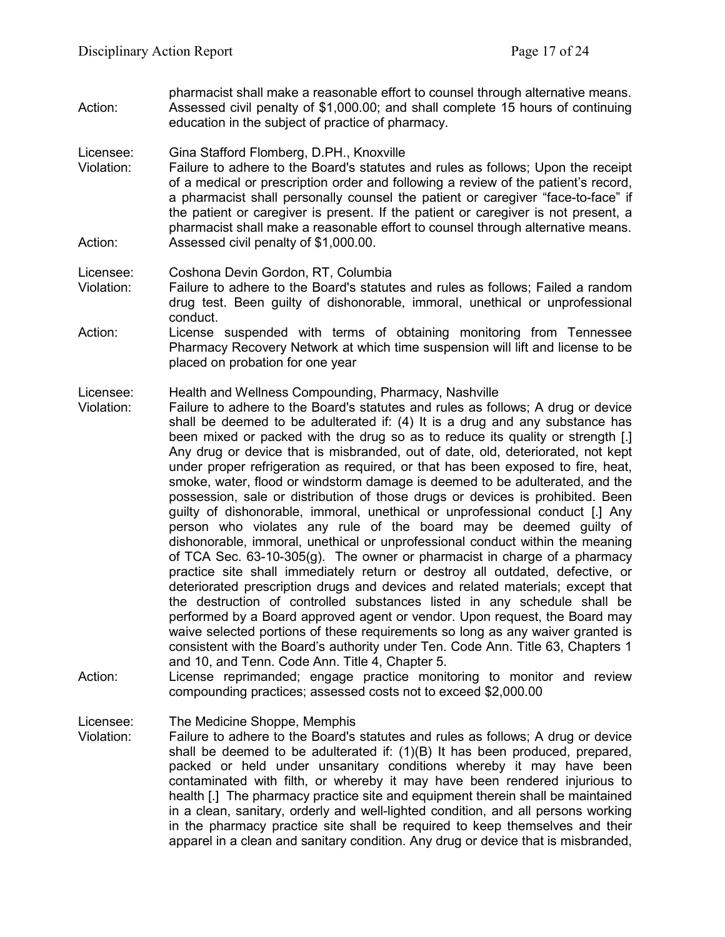- pharmacist shall make a reasonable effort to counsel through alternative means. Action: Assessed civil penalty of \$1,000.00; and shall complete 15 hours of continuing education in the subject of practice of pharmacy.
- Licensee: Gina Stafford Flomberg, D.PH., Knoxville
- Violation: Failure to adhere to the Board's statutes and rules as follows; Upon the receipt of a medical or prescription order and following a review of the patient's record, a pharmacist shall personally counsel the patient or caregiver "face-to-face" if the patient or caregiver is present. If the patient or caregiver is not present, a pharmacist shall make a reasonable effort to counsel through alternative means. Action: Assessed civil penalty of \$1,000.00.
- Licensee: Coshona Devin Gordon, RT, Columbia
- Violation: Failure to adhere to the Board's statutes and rules as follows; Failed a random drug test. Been guilty of dishonorable, immoral, unethical or unprofessional conduct.
- Action: License suspended with terms of obtaining monitoring from Tennessee Pharmacy Recovery Network at which time suspension will lift and license to be placed on probation for one year

#### Licensee: Health and Wellness Compounding, Pharmacy, Nashville

- Violation: Failure to adhere to the Board's statutes and rules as follows; A drug or device shall be deemed to be adulterated if: (4) It is a drug and any substance has been mixed or packed with the drug so as to reduce its quality or strength [.] Any drug or device that is misbranded, out of date, old, deteriorated, not kept under proper refrigeration as required, or that has been exposed to fire, heat, smoke, water, flood or windstorm damage is deemed to be adulterated, and the possession, sale or distribution of those drugs or devices is prohibited. Been guilty of dishonorable, immoral, unethical or unprofessional conduct [.] Any person who violates any rule of the board may be deemed guilty of dishonorable, immoral, unethical or unprofessional conduct within the meaning of TCA Sec. 63-10-305(g). The owner or pharmacist in charge of a pharmacy practice site shall immediately return or destroy all outdated, defective, or deteriorated prescription drugs and devices and related materials; except that the destruction of controlled substances listed in any schedule shall be performed by a Board approved agent or vendor. Upon request, the Board may waive selected portions of these requirements so long as any waiver granted is consistent with the Board's authority under Ten. Code Ann. Title 63, Chapters 1 and 10, and Tenn. Code Ann. Title 4, Chapter 5.
- Action: License reprimanded; engage practice monitoring to monitor and review compounding practices; assessed costs not to exceed \$2,000.00

Licensee: The Medicine Shoppe, Memphis

Violation: Failure to adhere to the Board's statutes and rules as follows; A drug or device shall be deemed to be adulterated if: (1)(B) It has been produced, prepared, packed or held under unsanitary conditions whereby it may have been contaminated with filth, or whereby it may have been rendered injurious to health [.] The pharmacy practice site and equipment therein shall be maintained in a clean, sanitary, orderly and well-lighted condition, and all persons working in the pharmacy practice site shall be required to keep themselves and their apparel in a clean and sanitary condition. Any drug or device that is misbranded,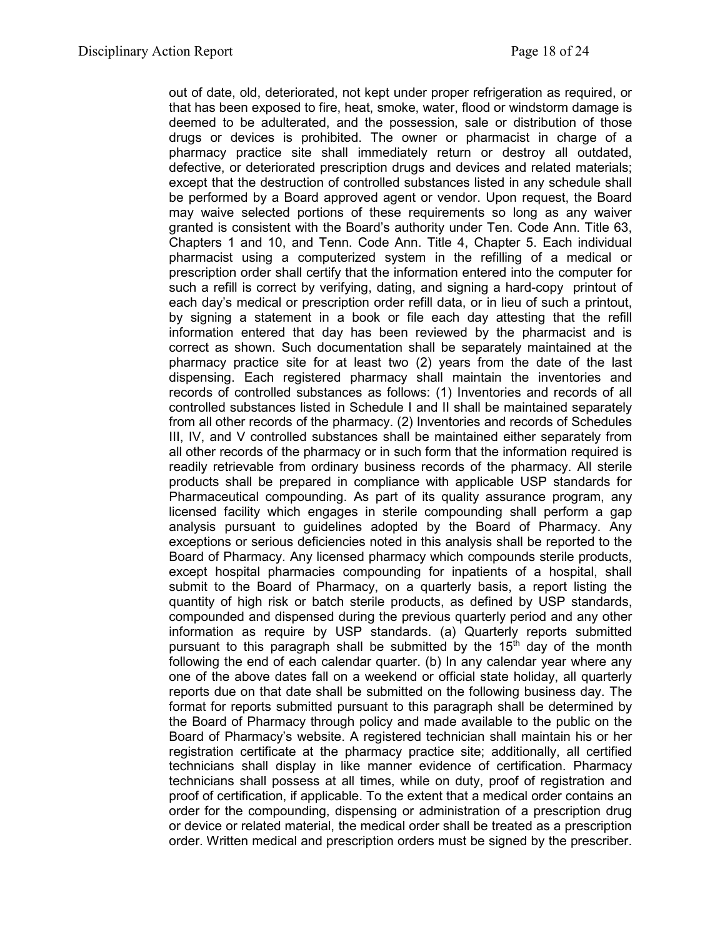out of date, old, deteriorated, not kept under proper refrigeration as required, or that has been exposed to fire, heat, smoke, water, flood or windstorm damage is deemed to be adulterated, and the possession, sale or distribution of those drugs or devices is prohibited. The owner or pharmacist in charge of a pharmacy practice site shall immediately return or destroy all outdated, defective, or deteriorated prescription drugs and devices and related materials; except that the destruction of controlled substances listed in any schedule shall be performed by a Board approved agent or vendor. Upon request, the Board may waive selected portions of these requirements so long as any waiver granted is consistent with the Board's authority under Ten. Code Ann. Title 63, Chapters 1 and 10, and Tenn. Code Ann. Title 4, Chapter 5. Each individual pharmacist using a computerized system in the refilling of a medical or prescription order shall certify that the information entered into the computer for such a refill is correct by verifying, dating, and signing a hard-copy printout of each day's medical or prescription order refill data, or in lieu of such a printout, by signing a statement in a book or file each day attesting that the refill information entered that day has been reviewed by the pharmacist and is correct as shown. Such documentation shall be separately maintained at the pharmacy practice site for at least two (2) years from the date of the last dispensing. Each registered pharmacy shall maintain the inventories and records of controlled substances as follows: (1) Inventories and records of all controlled substances listed in Schedule I and II shall be maintained separately from all other records of the pharmacy. (2) Inventories and records of Schedules III, IV, and V controlled substances shall be maintained either separately from all other records of the pharmacy or in such form that the information required is readily retrievable from ordinary business records of the pharmacy. All sterile products shall be prepared in compliance with applicable USP standards for Pharmaceutical compounding. As part of its quality assurance program, any licensed facility which engages in sterile compounding shall perform a gap analysis pursuant to guidelines adopted by the Board of Pharmacy. Any exceptions or serious deficiencies noted in this analysis shall be reported to the Board of Pharmacy. Any licensed pharmacy which compounds sterile products, except hospital pharmacies compounding for inpatients of a hospital, shall submit to the Board of Pharmacy, on a quarterly basis, a report listing the quantity of high risk or batch sterile products, as defined by USP standards, compounded and dispensed during the previous quarterly period and any other information as require by USP standards. (a) Quarterly reports submitted pursuant to this paragraph shall be submitted by the  $15<sup>th</sup>$  day of the month following the end of each calendar quarter. (b) In any calendar year where any one of the above dates fall on a weekend or official state holiday, all quarterly reports due on that date shall be submitted on the following business day. The format for reports submitted pursuant to this paragraph shall be determined by the Board of Pharmacy through policy and made available to the public on the Board of Pharmacy's website. A registered technician shall maintain his or her registration certificate at the pharmacy practice site; additionally, all certified technicians shall display in like manner evidence of certification. Pharmacy technicians shall possess at all times, while on duty, proof of registration and proof of certification, if applicable. To the extent that a medical order contains an order for the compounding, dispensing or administration of a prescription drug or device or related material, the medical order shall be treated as a prescription order. Written medical and prescription orders must be signed by the prescriber.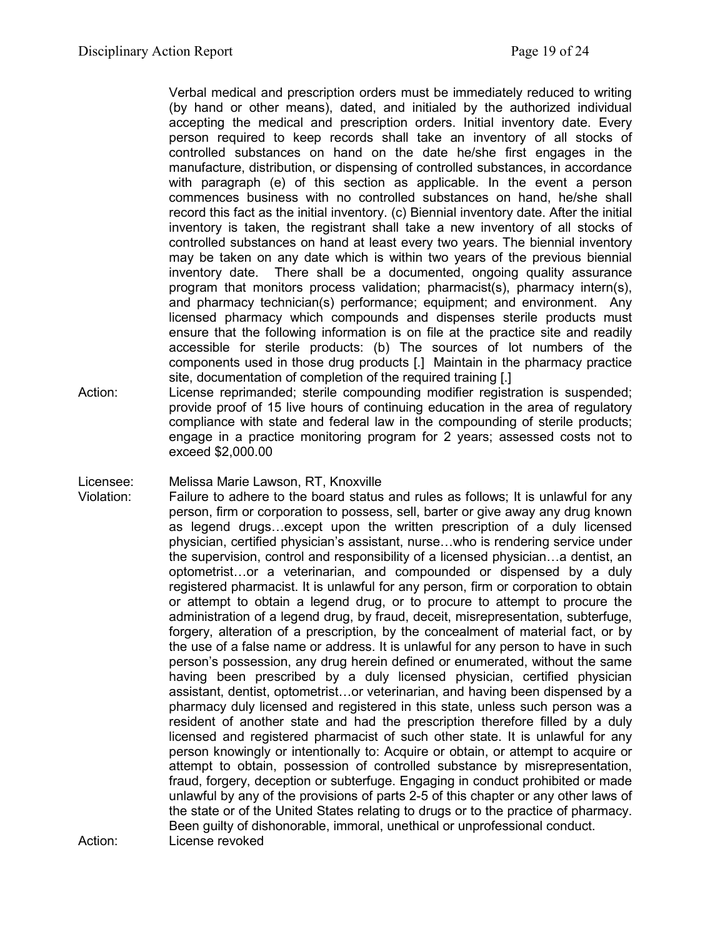Verbal medical and prescription orders must be immediately reduced to writing (by hand or other means), dated, and initialed by the authorized individual accepting the medical and prescription orders. Initial inventory date. Every person required to keep records shall take an inventory of all stocks of controlled substances on hand on the date he/she first engages in the manufacture, distribution, or dispensing of controlled substances, in accordance with paragraph (e) of this section as applicable. In the event a person commences business with no controlled substances on hand, he/she shall record this fact as the initial inventory. (c) Biennial inventory date. After the initial inventory is taken, the registrant shall take a new inventory of all stocks of controlled substances on hand at least every two years. The biennial inventory may be taken on any date which is within two years of the previous biennial inventory date. There shall be a documented, ongoing quality assurance program that monitors process validation; pharmacist(s), pharmacy intern(s), and pharmacy technician(s) performance; equipment; and environment. Any licensed pharmacy which compounds and dispenses sterile products must ensure that the following information is on file at the practice site and readily accessible for sterile products: (b) The sources of lot numbers of the components used in those drug products [.] Maintain in the pharmacy practice site, documentation of completion of the required training [.]

Action: License reprimanded; sterile compounding modifier registration is suspended; provide proof of 15 live hours of continuing education in the area of regulatory compliance with state and federal law in the compounding of sterile products; engage in a practice monitoring program for 2 years; assessed costs not to exceed \$2,000.00

Licensee: Melissa Marie Lawson, RT, Knoxville

Violation: Failure to adhere to the board status and rules as follows; It is unlawful for any person, firm or corporation to possess, sell, barter or give away any drug known as legend drugs…except upon the written prescription of a duly licensed physician, certified physician's assistant, nurse…who is rendering service under the supervision, control and responsibility of a licensed physician…a dentist, an optometrist…or a veterinarian, and compounded or dispensed by a duly registered pharmacist. It is unlawful for any person, firm or corporation to obtain or attempt to obtain a legend drug, or to procure to attempt to procure the administration of a legend drug, by fraud, deceit, misrepresentation, subterfuge, forgery, alteration of a prescription, by the concealment of material fact, or by the use of a false name or address. It is unlawful for any person to have in such person's possession, any drug herein defined or enumerated, without the same having been prescribed by a duly licensed physician, certified physician assistant, dentist, optometrist…or veterinarian, and having been dispensed by a pharmacy duly licensed and registered in this state, unless such person was a resident of another state and had the prescription therefore filled by a duly licensed and registered pharmacist of such other state. It is unlawful for any person knowingly or intentionally to: Acquire or obtain, or attempt to acquire or attempt to obtain, possession of controlled substance by misrepresentation, fraud, forgery, deception or subterfuge. Engaging in conduct prohibited or made unlawful by any of the provisions of parts 2-5 of this chapter or any other laws of the state or of the United States relating to drugs or to the practice of pharmacy. Been guilty of dishonorable, immoral, unethical or unprofessional conduct. Action: License revoked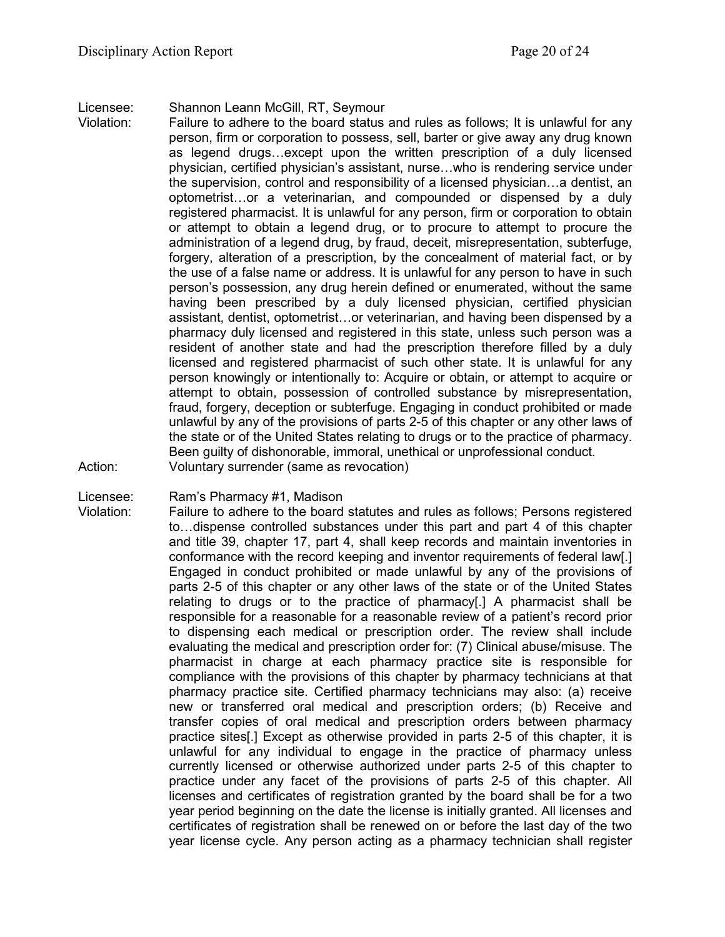### Licensee: Shannon Leann McGill, RT, Seymour

- Violation: Failure to adhere to the board status and rules as follows; It is unlawful for any person, firm or corporation to possess, sell, barter or give away any drug known as legend drugs…except upon the written prescription of a duly licensed physician, certified physician's assistant, nurse…who is rendering service under the supervision, control and responsibility of a licensed physician…a dentist, an optometrist…or a veterinarian, and compounded or dispensed by a duly registered pharmacist. It is unlawful for any person, firm or corporation to obtain or attempt to obtain a legend drug, or to procure to attempt to procure the administration of a legend drug, by fraud, deceit, misrepresentation, subterfuge, forgery, alteration of a prescription, by the concealment of material fact, or by the use of a false name or address. It is unlawful for any person to have in such person's possession, any drug herein defined or enumerated, without the same having been prescribed by a duly licensed physician, certified physician assistant, dentist, optometrist…or veterinarian, and having been dispensed by a pharmacy duly licensed and registered in this state, unless such person was a resident of another state and had the prescription therefore filled by a duly licensed and registered pharmacist of such other state. It is unlawful for any person knowingly or intentionally to: Acquire or obtain, or attempt to acquire or attempt to obtain, possession of controlled substance by misrepresentation, fraud, forgery, deception or subterfuge. Engaging in conduct prohibited or made unlawful by any of the provisions of parts 2-5 of this chapter or any other laws of the state or of the United States relating to drugs or to the practice of pharmacy. Been guilty of dishonorable, immoral, unethical or unprofessional conduct. Action: Voluntary surrender (same as revocation)
- Licensee: Ram's Pharmacy #1, Madison
- 

Violation: Failure to adhere to the board statutes and rules as follows; Persons registered to…dispense controlled substances under this part and part 4 of this chapter and title 39, chapter 17, part 4, shall keep records and maintain inventories in conformance with the record keeping and inventor requirements of federal law[.] Engaged in conduct prohibited or made unlawful by any of the provisions of parts 2-5 of this chapter or any other laws of the state or of the United States relating to drugs or to the practice of pharmacy[.] A pharmacist shall be responsible for a reasonable for a reasonable review of a patient's record prior to dispensing each medical or prescription order. The review shall include evaluating the medical and prescription order for: (7) Clinical abuse/misuse. The pharmacist in charge at each pharmacy practice site is responsible for compliance with the provisions of this chapter by pharmacy technicians at that pharmacy practice site. Certified pharmacy technicians may also: (a) receive new or transferred oral medical and prescription orders; (b) Receive and transfer copies of oral medical and prescription orders between pharmacy practice sites[.] Except as otherwise provided in parts 2-5 of this chapter, it is unlawful for any individual to engage in the practice of pharmacy unless currently licensed or otherwise authorized under parts 2-5 of this chapter to practice under any facet of the provisions of parts 2-5 of this chapter. All licenses and certificates of registration granted by the board shall be for a two year period beginning on the date the license is initially granted. All licenses and certificates of registration shall be renewed on or before the last day of the two year license cycle. Any person acting as a pharmacy technician shall register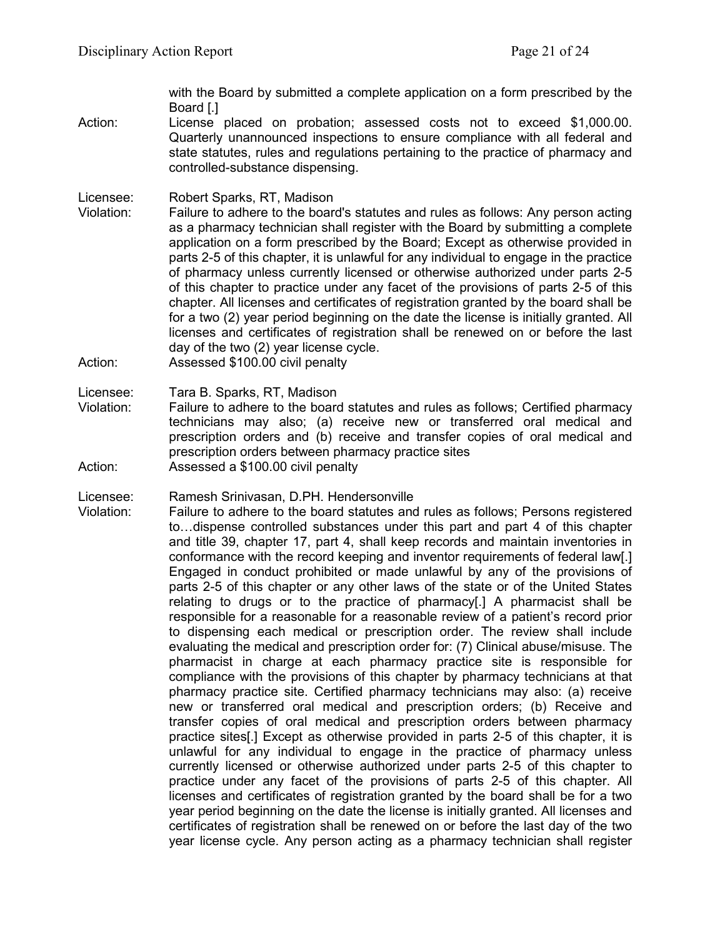with the Board by submitted a complete application on a form prescribed by the Board [.]

- Action: License placed on probation; assessed costs not to exceed \$1,000.00. Quarterly unannounced inspections to ensure compliance with all federal and state statutes, rules and regulations pertaining to the practice of pharmacy and controlled-substance dispensing.
- Licensee: Robert Sparks, RT, Madison
- Violation: Failure to adhere to the board's statutes and rules as follows: Any person acting as a pharmacy technician shall register with the Board by submitting a complete application on a form prescribed by the Board; Except as otherwise provided in parts 2-5 of this chapter, it is unlawful for any individual to engage in the practice of pharmacy unless currently licensed or otherwise authorized under parts 2-5 of this chapter to practice under any facet of the provisions of parts 2-5 of this chapter. All licenses and certificates of registration granted by the board shall be for a two (2) year period beginning on the date the license is initially granted. All licenses and certificates of registration shall be renewed on or before the last day of the two (2) year license cycle.
- Action: Assessed \$100.00 civil penalty
- Licensee: Tara B. Sparks, RT, Madison
- Violation: Failure to adhere to the board statutes and rules as follows; Certified pharmacy technicians may also; (a) receive new or transferred oral medical and prescription orders and (b) receive and transfer copies of oral medical and prescription orders between pharmacy practice sites Action: Assessed a \$100.00 civil penalty

Licensee: Ramesh Srinivasan, D.PH. Hendersonville

Violation: Failure to adhere to the board statutes and rules as follows; Persons registered to…dispense controlled substances under this part and part 4 of this chapter and title 39, chapter 17, part 4, shall keep records and maintain inventories in conformance with the record keeping and inventor requirements of federal law[.] Engaged in conduct prohibited or made unlawful by any of the provisions of parts 2-5 of this chapter or any other laws of the state or of the United States relating to drugs or to the practice of pharmacy[.] A pharmacist shall be responsible for a reasonable for a reasonable review of a patient's record prior to dispensing each medical or prescription order. The review shall include evaluating the medical and prescription order for: (7) Clinical abuse/misuse. The pharmacist in charge at each pharmacy practice site is responsible for compliance with the provisions of this chapter by pharmacy technicians at that pharmacy practice site. Certified pharmacy technicians may also: (a) receive new or transferred oral medical and prescription orders; (b) Receive and transfer copies of oral medical and prescription orders between pharmacy practice sites[.] Except as otherwise provided in parts 2-5 of this chapter, it is unlawful for any individual to engage in the practice of pharmacy unless currently licensed or otherwise authorized under parts 2-5 of this chapter to practice under any facet of the provisions of parts 2-5 of this chapter. All licenses and certificates of registration granted by the board shall be for a two year period beginning on the date the license is initially granted. All licenses and certificates of registration shall be renewed on or before the last day of the two year license cycle. Any person acting as a pharmacy technician shall register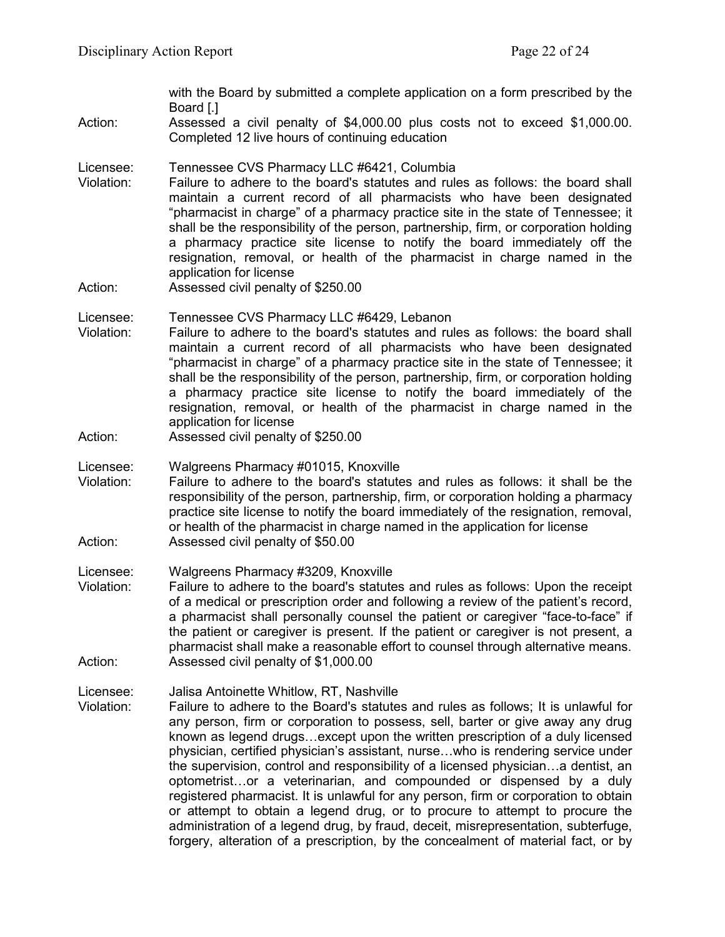with the Board by submitted a complete application on a form prescribed by the Board [.]

Action: Assessed a civil penalty of \$4,000.00 plus costs not to exceed \$1,000.00. Completed 12 live hours of continuing education

Licensee: Tennessee CVS Pharmacy LLC #6421, Columbia

- Violation: Failure to adhere to the board's statutes and rules as follows: the board shall maintain a current record of all pharmacists who have been designated "pharmacist in charge" of a pharmacy practice site in the state of Tennessee; it shall be the responsibility of the person, partnership, firm, or corporation holding a pharmacy practice site license to notify the board immediately off the resignation, removal, or health of the pharmacist in charge named in the application for license
- Action: Assessed civil penalty of \$250.00

Licensee: Tennessee CVS Pharmacy LLC #6429, Lebanon

- Violation: Failure to adhere to the board's statutes and rules as follows: the board shall maintain a current record of all pharmacists who have been designated "pharmacist in charge" of a pharmacy practice site in the state of Tennessee; it shall be the responsibility of the person, partnership, firm, or corporation holding a pharmacy practice site license to notify the board immediately of the resignation, removal, or health of the pharmacist in charge named in the application for license
- Action: Assessed civil penalty of \$250.00

Licensee: Walgreens Pharmacy #01015, Knoxville

Violation: Failure to adhere to the board's statutes and rules as follows: it shall be the responsibility of the person, partnership, firm, or corporation holding a pharmacy practice site license to notify the board immediately of the resignation, removal, or health of the pharmacist in charge named in the application for license Action: Assessed civil penalty of \$50.00

Licensee: Walgreens Pharmacy #3209, Knoxville

Violation: Failure to adhere to the board's statutes and rules as follows: Upon the receipt of a medical or prescription order and following a review of the patient's record, a pharmacist shall personally counsel the patient or caregiver "face-to-face" if the patient or caregiver is present. If the patient or caregiver is not present, a pharmacist shall make a reasonable effort to counsel through alternative means. Action: Assessed civil penalty of \$1,000.00

Licensee: Jalisa Antoinette Whitlow, RT, Nashville

Violation: Failure to adhere to the Board's statutes and rules as follows; It is unlawful for any person, firm or corporation to possess, sell, barter or give away any drug known as legend drugs…except upon the written prescription of a duly licensed physician, certified physician's assistant, nurse…who is rendering service under the supervision, control and responsibility of a licensed physician…a dentist, an optometrist…or a veterinarian, and compounded or dispensed by a duly registered pharmacist. It is unlawful for any person, firm or corporation to obtain or attempt to obtain a legend drug, or to procure to attempt to procure the administration of a legend drug, by fraud, deceit, misrepresentation, subterfuge, forgery, alteration of a prescription, by the concealment of material fact, or by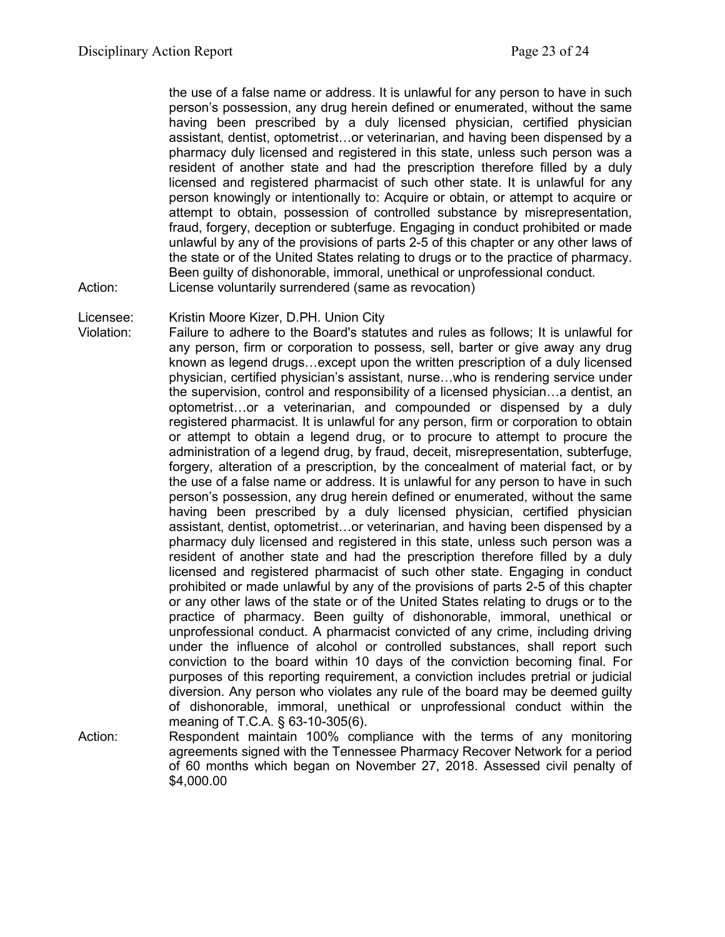the use of a false name or address. It is unlawful for any person to have in such person's possession, any drug herein defined or enumerated, without the same having been prescribed by a duly licensed physician, certified physician assistant, dentist, optometrist…or veterinarian, and having been dispensed by a pharmacy duly licensed and registered in this state, unless such person was a resident of another state and had the prescription therefore filled by a duly licensed and registered pharmacist of such other state. It is unlawful for any person knowingly or intentionally to: Acquire or obtain, or attempt to acquire or attempt to obtain, possession of controlled substance by misrepresentation, fraud, forgery, deception or subterfuge. Engaging in conduct prohibited or made unlawful by any of the provisions of parts 2-5 of this chapter or any other laws of the state or of the United States relating to drugs or to the practice of pharmacy. Been guilty of dishonorable, immoral, unethical or unprofessional conduct. Action: License voluntarily surrendered (same as revocation)

Licensee: Kristin Moore Kizer, D.PH. Union City

- Violation: Failure to adhere to the Board's statutes and rules as follows; It is unlawful for any person, firm or corporation to possess, sell, barter or give away any drug known as legend drugs…except upon the written prescription of a duly licensed physician, certified physician's assistant, nurse…who is rendering service under the supervision, control and responsibility of a licensed physician…a dentist, an optometrist…or a veterinarian, and compounded or dispensed by a duly registered pharmacist. It is unlawful for any person, firm or corporation to obtain or attempt to obtain a legend drug, or to procure to attempt to procure the administration of a legend drug, by fraud, deceit, misrepresentation, subterfuge, forgery, alteration of a prescription, by the concealment of material fact, or by the use of a false name or address. It is unlawful for any person to have in such person's possession, any drug herein defined or enumerated, without the same having been prescribed by a duly licensed physician, certified physician assistant, dentist, optometrist…or veterinarian, and having been dispensed by a pharmacy duly licensed and registered in this state, unless such person was a resident of another state and had the prescription therefore filled by a duly licensed and registered pharmacist of such other state. Engaging in conduct prohibited or made unlawful by any of the provisions of parts 2-5 of this chapter or any other laws of the state or of the United States relating to drugs or to the practice of pharmacy. Been guilty of dishonorable, immoral, unethical or unprofessional conduct. A pharmacist convicted of any crime, including driving under the influence of alcohol or controlled substances, shall report such conviction to the board within 10 days of the conviction becoming final. For purposes of this reporting requirement, a conviction includes pretrial or judicial diversion. Any person who violates any rule of the board may be deemed guilty of dishonorable, immoral, unethical or unprofessional conduct within the meaning of T.C.A. § 63-10-305(6).
- Action: Respondent maintain 100% compliance with the terms of any monitoring agreements signed with the Tennessee Pharmacy Recover Network for a period of 60 months which began on November 27, 2018. Assessed civil penalty of \$4,000.00